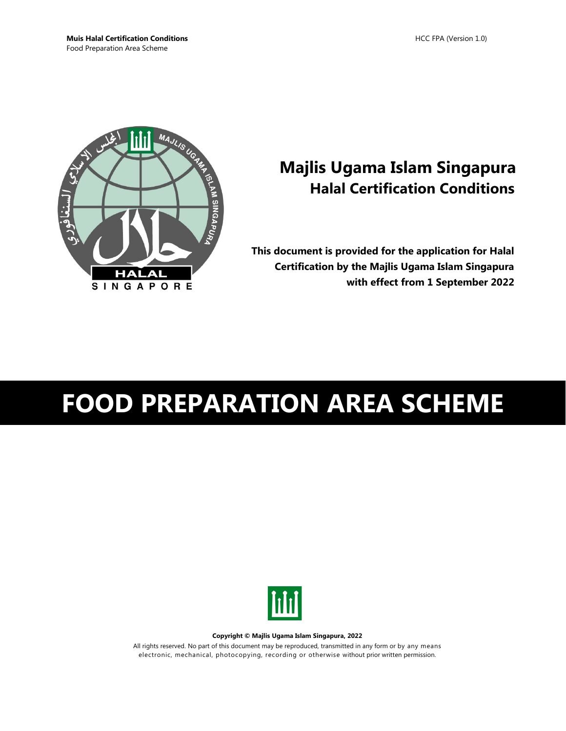

## **Majlis Ugama Islam Singapura Halal Certification Conditions**

**This document is provided for the application for Halal Certification by the Majlis Ugama Islam Singapura with effect from 1 September 2022**

# **FOOD PREPARATION AREA SCHEME**



**Copyright © Majlis Ugama Islam Singapura, 2022**

All rights reserved. No part of this document may be reproduced, transmitted in any form or by any means electronic, mechanical, photocopying, recording or otherwise without prior written permission.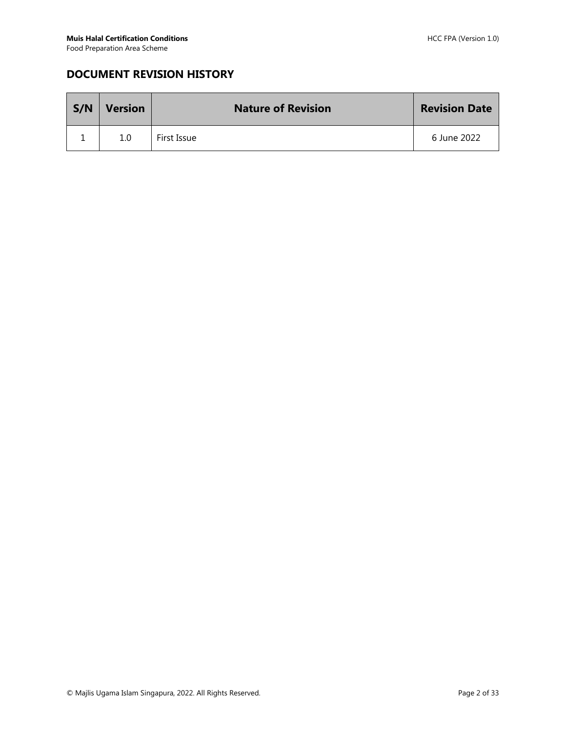## **DOCUMENT REVISION HISTORY**

| S/N | <b>Version</b> | <b>Nature of Revision</b> | <b>Revision Date</b> |
|-----|----------------|---------------------------|----------------------|
|     | 1.0            | First Issue               | 6 June 2022          |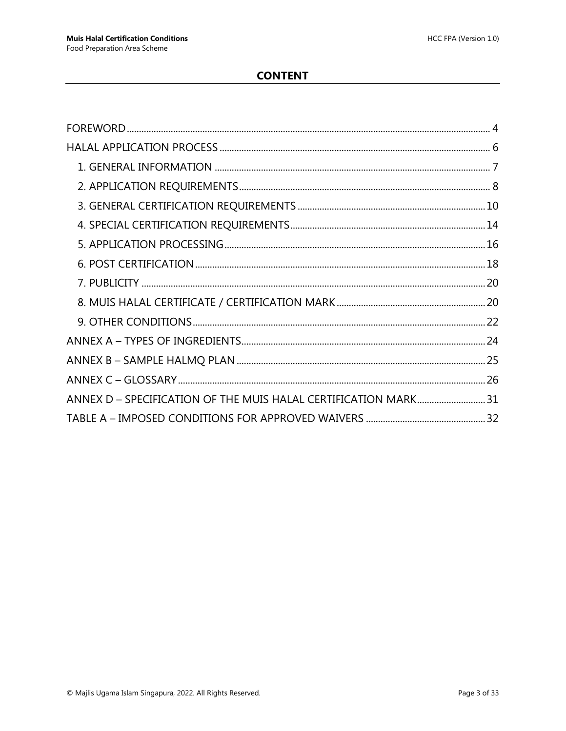## **CONTENT**

| ANNEX D - SPECIFICATION OF THE MUIS HALAL CERTIFICATION MARK31 |  |
|----------------------------------------------------------------|--|
|                                                                |  |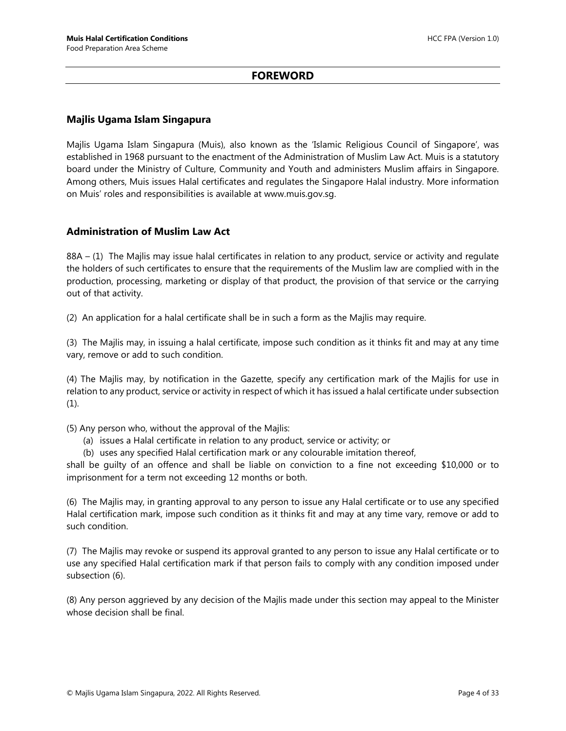#### **FOREWORD**

#### <span id="page-3-0"></span>**Majlis Ugama Islam Singapura**

Majlis Ugama Islam Singapura (Muis), also known as the 'Islamic Religious Council of Singapore', was established in 1968 pursuant to the enactment of the Administration of Muslim Law Act. Muis is a statutory board under the Ministry of Culture, Community and Youth and administers Muslim affairs in Singapore. Among others, Muis issues Halal certificates and regulates the Singapore Halal industry. More information on Muis' roles and responsibilities is available at www.muis.gov.sg.

#### **Administration of Muslim Law Act**

88A – (1) The Majlis may issue halal certificates in relation to any product, service or activity and regulate the holders of such certificates to ensure that the requirements of the Muslim law are complied with in the production, processing, marketing or display of that product, the provision of that service or the carrying out of that activity.

(2) An application for a halal certificate shall be in such a form as the Majlis may require.

(3) The Majlis may, in issuing a halal certificate, impose such condition as it thinks fit and may at any time vary, remove or add to such condition.

(4) The Majlis may, by notification in the Gazette, specify any certification mark of the Majlis for use in relation to any product, service or activity in respect of which it has issued a halal certificate under subsection (1).

(5) Any person who, without the approval of the Majlis:

- (a) issues a Halal certificate in relation to any product, service or activity; or
- (b) uses any specified Halal certification mark or any colourable imitation thereof,

shall be guilty of an offence and shall be liable on conviction to a fine not exceeding \$10,000 or to imprisonment for a term not exceeding 12 months or both.

(6) The Majlis may, in granting approval to any person to issue any Halal certificate or to use any specified Halal certification mark, impose such condition as it thinks fit and may at any time vary, remove or add to such condition.

(7) The Majlis may revoke or suspend its approval granted to any person to issue any Halal certificate or to use any specified Halal certification mark if that person fails to comply with any condition imposed under subsection (6).

(8) Any person aggrieved by any decision of the Majlis made under this section may appeal to the Minister whose decision shall be final.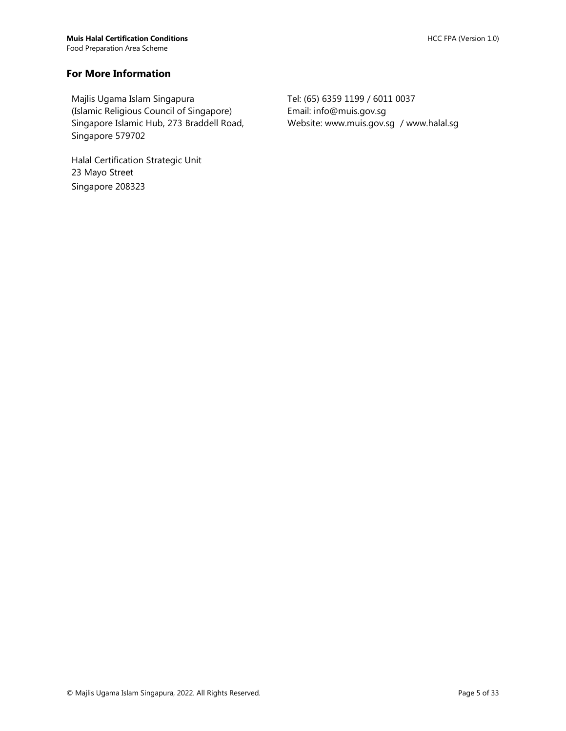#### **For More Information**

Majlis Ugama Islam Singapura (Islamic Religious Council of Singapore) Singapore Islamic Hub, 273 Braddell Road, Singapore 579702

Halal Certification Strategic Unit 23 Mayo Street Singapore 208323

Tel: (65) 6359 1199 / 6011 0037 Email: info@muis.gov.sg Website: www.muis.gov.sg / www.halal.sg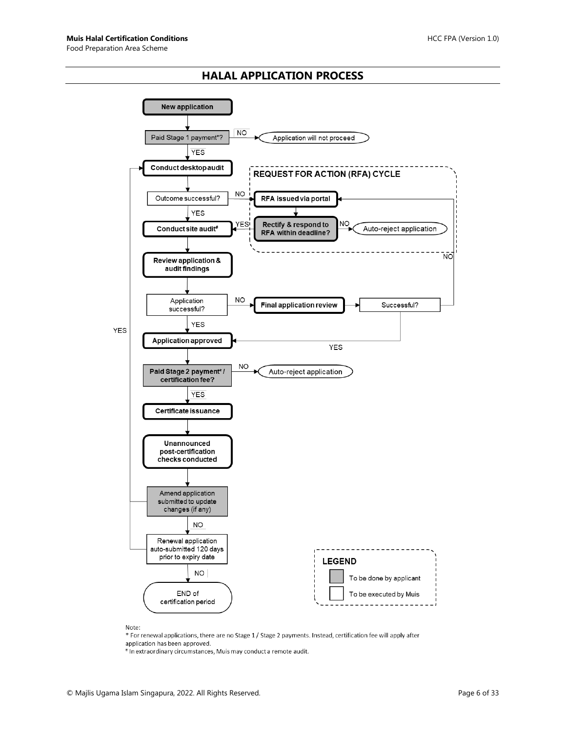#### **HALAL APPLICATION PROCESS**

<span id="page-5-0"></span>

Note:

\* For renewal applications, there are no Stage 1 / Stage 2 payments. Instead, certification fee will apply after application has been approved.

# In extraordinary circumstances, Muis may conduct a remote audit.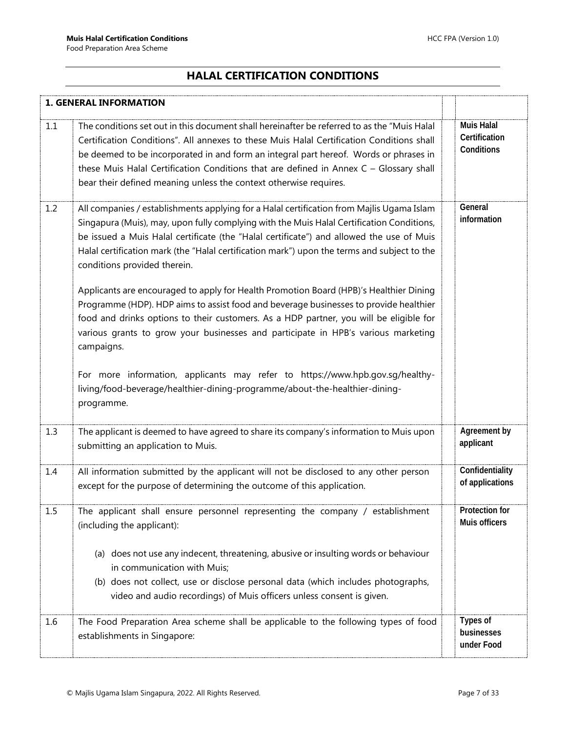## **HALAL CERTIFICATION CONDITIONS**

<span id="page-6-0"></span>

|     | <b>1. GENERAL INFORMATION</b>                                                                                                                                                                                                                                                                                                                                                                                                                                                                                                                                                                        |                                                  |
|-----|------------------------------------------------------------------------------------------------------------------------------------------------------------------------------------------------------------------------------------------------------------------------------------------------------------------------------------------------------------------------------------------------------------------------------------------------------------------------------------------------------------------------------------------------------------------------------------------------------|--------------------------------------------------|
| 1.1 | The conditions set out in this document shall hereinafter be referred to as the "Muis Halal<br>Certification Conditions". All annexes to these Muis Halal Certification Conditions shall<br>be deemed to be incorporated in and form an integral part hereof. Words or phrases in<br>these Muis Halal Certification Conditions that are defined in Annex C - Glossary shall<br>bear their defined meaning unless the context otherwise requires.                                                                                                                                                     | <b>Muis Halal</b><br>Certification<br>Conditions |
| 1.2 | All companies / establishments applying for a Halal certification from Majlis Ugama Islam<br>Singapura (Muis), may, upon fully complying with the Muis Halal Certification Conditions,<br>be issued a Muis Halal certificate (the "Halal certificate") and allowed the use of Muis<br>Halal certification mark (the "Halal certification mark") upon the terms and subject to the<br>conditions provided therein.<br>Applicants are encouraged to apply for Health Promotion Board (HPB)'s Healthier Dining<br>Programme (HDP). HDP aims to assist food and beverage businesses to provide healthier | General<br>information                           |
|     | food and drinks options to their customers. As a HDP partner, you will be eligible for<br>various grants to grow your businesses and participate in HPB's various marketing<br>campaigns.                                                                                                                                                                                                                                                                                                                                                                                                            |                                                  |
|     | For more information, applicants may refer to https://www.hpb.gov.sg/healthy-<br>living/food-beverage/healthier-dining-programme/about-the-healthier-dining-<br>programme.                                                                                                                                                                                                                                                                                                                                                                                                                           |                                                  |
| 1.3 | The applicant is deemed to have agreed to share its company's information to Muis upon<br>submitting an application to Muis.                                                                                                                                                                                                                                                                                                                                                                                                                                                                         | Agreement by<br>applicant                        |
| 1.4 | All information submitted by the applicant will not be disclosed to any other person<br>except for the purpose of determining the outcome of this application.                                                                                                                                                                                                                                                                                                                                                                                                                                       | Confidentiality<br>of applications               |
| 1.5 | The applicant shall ensure personnel representing the company / establishment<br>(including the applicant):                                                                                                                                                                                                                                                                                                                                                                                                                                                                                          | <b>Protection for</b><br>Muis officers           |
|     | (a) does not use any indecent, threatening, abusive or insulting words or behaviour<br>in communication with Muis;<br>(b) does not collect, use or disclose personal data (which includes photographs,                                                                                                                                                                                                                                                                                                                                                                                               |                                                  |
|     | video and audio recordings) of Muis officers unless consent is given.                                                                                                                                                                                                                                                                                                                                                                                                                                                                                                                                |                                                  |
| 1.6 | The Food Preparation Area scheme shall be applicable to the following types of food<br>establishments in Singapore:                                                                                                                                                                                                                                                                                                                                                                                                                                                                                  | Types of<br>businesses<br>under Food             |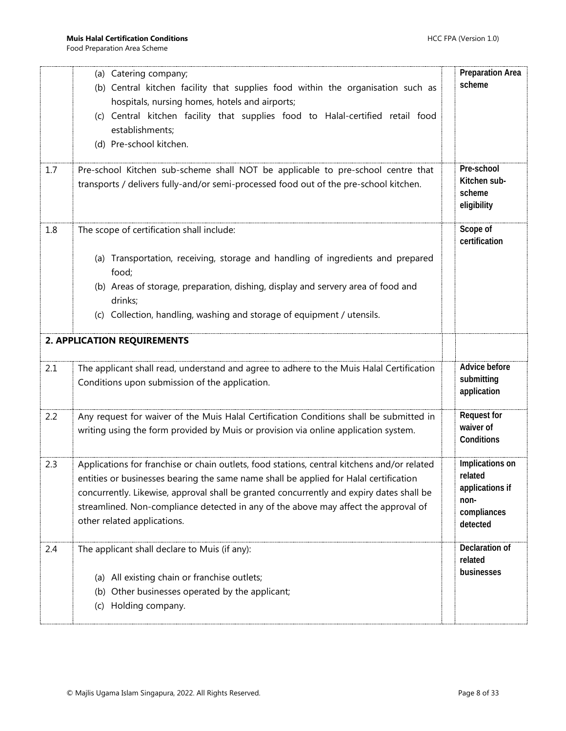<span id="page-7-0"></span>

| 1.7 | (a) Catering company;<br>(b) Central kitchen facility that supplies food within the organisation such as<br>hospitals, nursing homes, hotels and airports;<br>(c) Central kitchen facility that supplies food to Halal-certified retail food<br>establishments;<br>(d) Pre-school kitchen.<br>Pre-school Kitchen sub-scheme shall NOT be applicable to pre-school centre that                          | <b>Preparation Area</b><br>scheme<br>Pre-school                                  |
|-----|--------------------------------------------------------------------------------------------------------------------------------------------------------------------------------------------------------------------------------------------------------------------------------------------------------------------------------------------------------------------------------------------------------|----------------------------------------------------------------------------------|
|     | transports / delivers fully-and/or semi-processed food out of the pre-school kitchen.                                                                                                                                                                                                                                                                                                                  | Kitchen sub-<br>scheme<br>eligibility                                            |
| 1.8 | The scope of certification shall include:<br>(a) Transportation, receiving, storage and handling of ingredients and prepared<br>food;<br>(b) Areas of storage, preparation, dishing, display and servery area of food and<br>drinks;<br>(c) Collection, handling, washing and storage of equipment / utensils.                                                                                         | Scope of<br>certification                                                        |
|     | 2. APPLICATION REQUIREMENTS                                                                                                                                                                                                                                                                                                                                                                            |                                                                                  |
| 2.1 | The applicant shall read, understand and agree to adhere to the Muis Halal Certification<br>Conditions upon submission of the application.                                                                                                                                                                                                                                                             | Advice before<br>submitting<br>application                                       |
| 2.2 | Any request for waiver of the Muis Halal Certification Conditions shall be submitted in<br>writing using the form provided by Muis or provision via online application system.                                                                                                                                                                                                                         | <b>Request for</b><br>waiver of<br>Conditions                                    |
| 2.3 | Applications for franchise or chain outlets, food stations, central kitchens and/or related<br>entities or businesses bearing the same name shall be applied for Halal certification<br>concurrently. Likewise, approval shall be granted concurrently and expiry dates shall be<br>streamlined. Non-compliance detected in any of the above may affect the approval of<br>other related applications. | Implications on<br>related<br>applications if<br>non-<br>compliances<br>detected |
| 2.4 | The applicant shall declare to Muis (if any):<br>(a) All existing chain or franchise outlets;<br>(b) Other businesses operated by the applicant;<br>Holding company.<br>(c)                                                                                                                                                                                                                            | Declaration of<br>related<br>businesses                                          |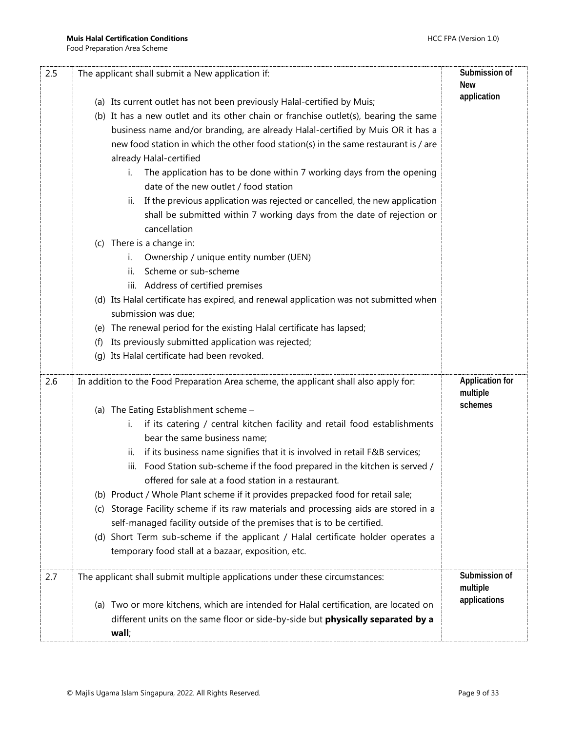| 2.5 | The applicant shall submit a New application if:                                                                     | Submission of<br><b>New</b>        |
|-----|----------------------------------------------------------------------------------------------------------------------|------------------------------------|
|     |                                                                                                                      | application                        |
|     | (a) Its current outlet has not been previously Halal-certified by Muis;                                              |                                    |
|     | (b) It has a new outlet and its other chain or franchise outlet(s), bearing the same                                 |                                    |
|     | business name and/or branding, are already Halal-certified by Muis OR it has a                                       |                                    |
|     | new food station in which the other food station(s) in the same restaurant is / are<br>already Halal-certified       |                                    |
|     | The application has to be done within 7 working days from the opening<br>İ.<br>date of the new outlet / food station |                                    |
|     | If the previous application was rejected or cancelled, the new application<br>н.                                     |                                    |
|     | shall be submitted within 7 working days from the date of rejection or<br>cancellation                               |                                    |
|     | (c) There is a change in:                                                                                            |                                    |
|     | Ownership / unique entity number (UEN)<br>i.                                                                         |                                    |
|     | Scheme or sub-scheme<br>ii.                                                                                          |                                    |
|     | iii. Address of certified premises                                                                                   |                                    |
|     | (d) Its Halal certificate has expired, and renewal application was not submitted when                                |                                    |
|     | submission was due;                                                                                                  |                                    |
|     | (e) The renewal period for the existing Halal certificate has lapsed;                                                |                                    |
|     | Its previously submitted application was rejected;<br>(f)                                                            |                                    |
|     | Its Halal certificate had been revoked.<br>(g)                                                                       |                                    |
|     |                                                                                                                      |                                    |
| 2.6 | In addition to the Food Preparation Area scheme, the applicant shall also apply for:                                 | <b>Application for</b><br>multiple |
|     | (a) The Eating Establishment scheme -                                                                                | schemes                            |
|     | if its catering / central kitchen facility and retail food establishments<br>i.<br>bear the same business name;      |                                    |
|     | if its business name signifies that it is involved in retail F&B services;<br>ii.                                    |                                    |
|     | Food Station sub-scheme if the food prepared in the kitchen is served /<br>iii.                                      |                                    |
|     | offered for sale at a food station in a restaurant.                                                                  |                                    |
|     | (b) Product / Whole Plant scheme if it provides prepacked food for retail sale;                                      |                                    |
|     | Storage Facility scheme if its raw materials and processing aids are stored in a<br>(C)                              |                                    |
|     | self-managed facility outside of the premises that is to be certified.                                               |                                    |
|     | (d) Short Term sub-scheme if the applicant / Halal certificate holder operates a                                     |                                    |
|     | temporary food stall at a bazaar, exposition, etc.                                                                   |                                    |
| 2.7 | The applicant shall submit multiple applications under these circumstances:                                          | Submission of<br>multiple          |
|     | (a) Two or more kitchens, which are intended for Halal certification, are located on                                 | applications                       |
|     | different units on the same floor or side-by-side but physically separated by a                                      |                                    |
|     | wall;                                                                                                                |                                    |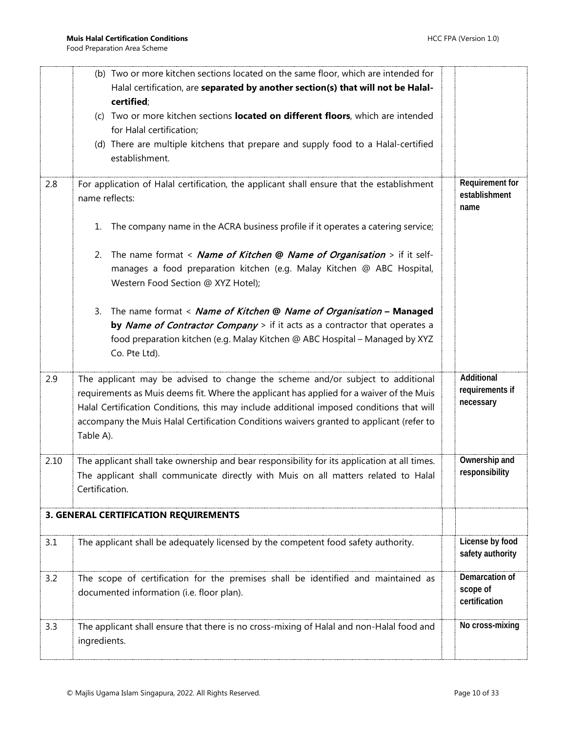<span id="page-9-0"></span>

|      | (b) Two or more kitchen sections located on the same floor, which are intended for<br>Halal certification, are separated by another section(s) that will not be Halal-<br>certified;<br>(c) Two or more kitchen sections located on different floors, which are intended<br>for Halal certification;<br>(d) There are multiple kitchens that prepare and supply food to a Halal-certified<br>establishment. |                                             |
|------|-------------------------------------------------------------------------------------------------------------------------------------------------------------------------------------------------------------------------------------------------------------------------------------------------------------------------------------------------------------------------------------------------------------|---------------------------------------------|
| 2.8  | For application of Halal certification, the applicant shall ensure that the establishment<br>name reflects:<br>1. The company name in the ACRA business profile if it operates a catering service;                                                                                                                                                                                                          | Requirement for<br>establishment<br>name    |
|      | 2. The name format < Name of Kitchen @ Name of Organisation > if it self-<br>manages a food preparation kitchen (e.g. Malay Kitchen @ ABC Hospital,<br>Western Food Section @ XYZ Hotel);                                                                                                                                                                                                                   |                                             |
|      | 3. The name format < Name of Kitchen @ Name of Organisation - Managed<br>by Name of Contractor Company > if it acts as a contractor that operates a<br>food preparation kitchen (e.g. Malay Kitchen @ ABC Hospital - Managed by XYZ<br>Co. Pte Ltd).                                                                                                                                                        |                                             |
| 2.9  | The applicant may be advised to change the scheme and/or subject to additional<br>requirements as Muis deems fit. Where the applicant has applied for a waiver of the Muis<br>Halal Certification Conditions, this may include additional imposed conditions that will<br>accompany the Muis Halal Certification Conditions waivers granted to applicant (refer to<br>Table A).                             | Additional<br>requirements if<br>necessary  |
| 2.10 | The applicant shall take ownership and bear responsibility for its application at all times.<br>The applicant shall communicate directly with Muis on all matters related to Halal<br>Certification.                                                                                                                                                                                                        | Ownership and<br>responsibility             |
|      | 3. GENERAL CERTIFICATION REQUIREMENTS                                                                                                                                                                                                                                                                                                                                                                       |                                             |
| 3.1  | The applicant shall be adequately licensed by the competent food safety authority.                                                                                                                                                                                                                                                                                                                          | License by food<br>safety authority         |
| 3.2  | The scope of certification for the premises shall be identified and maintained as<br>documented information (i.e. floor plan).                                                                                                                                                                                                                                                                              | Demarcation of<br>scope of<br>certification |
| 3.3  | The applicant shall ensure that there is no cross-mixing of Halal and non-Halal food and<br>ingredients.                                                                                                                                                                                                                                                                                                    | No cross-mixing                             |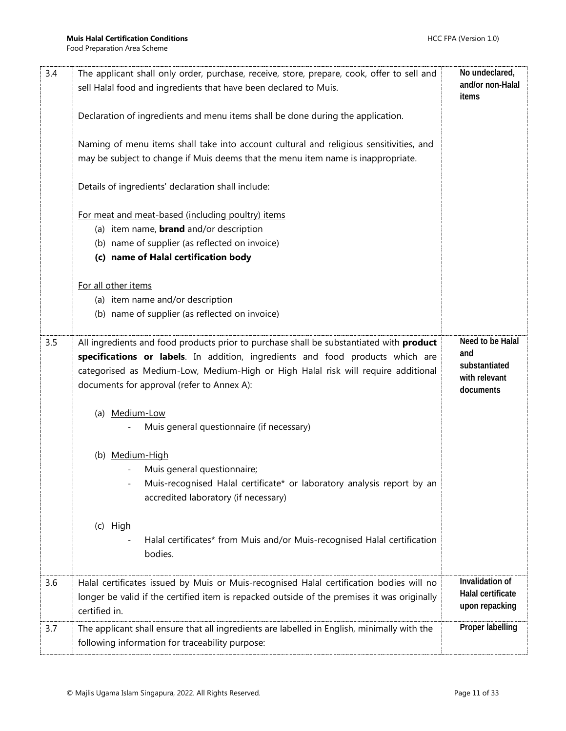| 3.4 | The applicant shall only order, purchase, receive, store, prepare, cook, offer to sell and<br>sell Halal food and ingredients that have been declared to Muis.<br>Declaration of ingredients and menu items shall be done during the application.<br>Naming of menu items shall take into account cultural and religious sensitivities, and<br>may be subject to change if Muis deems that the menu item name is inappropriate.<br>Details of ingredients' declaration shall include:<br>For meat and meat-based (including poultry) items<br>(a) item name, <b>brand</b> and/or description<br>(b) name of supplier (as reflected on invoice)<br>(c) name of Halal certification body<br>For all other items<br>(a) item name and/or description<br>(b) name of supplier (as reflected on invoice) | No undeclared,<br>and/or non-Halal<br>items                            |
|-----|-----------------------------------------------------------------------------------------------------------------------------------------------------------------------------------------------------------------------------------------------------------------------------------------------------------------------------------------------------------------------------------------------------------------------------------------------------------------------------------------------------------------------------------------------------------------------------------------------------------------------------------------------------------------------------------------------------------------------------------------------------------------------------------------------------|------------------------------------------------------------------------|
| 3.5 | All ingredients and food products prior to purchase shall be substantiated with product<br>specifications or labels. In addition, ingredients and food products which are<br>categorised as Medium-Low, Medium-High or High Halal risk will require additional<br>documents for approval (refer to Annex A):<br>(a) Medium-Low<br>Muis general questionnaire (if necessary)<br>(b) Medium-High<br>Muis general questionnaire;<br>Muis-recognised Halal certificate* or laboratory analysis report by an<br>accredited laboratory (if necessary)<br>$(c)$ High<br>Halal certificates* from Muis and/or Muis-recognised Halal certification<br>bodies.                                                                                                                                                | Need to be Halal<br>and<br>substantiated<br>with relevant<br>documents |
| 3.6 | Halal certificates issued by Muis or Muis-recognised Halal certification bodies will no<br>longer be valid if the certified item is repacked outside of the premises it was originally<br>certified in.                                                                                                                                                                                                                                                                                                                                                                                                                                                                                                                                                                                             | Invalidation of<br>Halal certificate<br>upon repacking                 |
| 3.7 | The applicant shall ensure that all ingredients are labelled in English, minimally with the<br>following information for traceability purpose:                                                                                                                                                                                                                                                                                                                                                                                                                                                                                                                                                                                                                                                      | Proper labelling                                                       |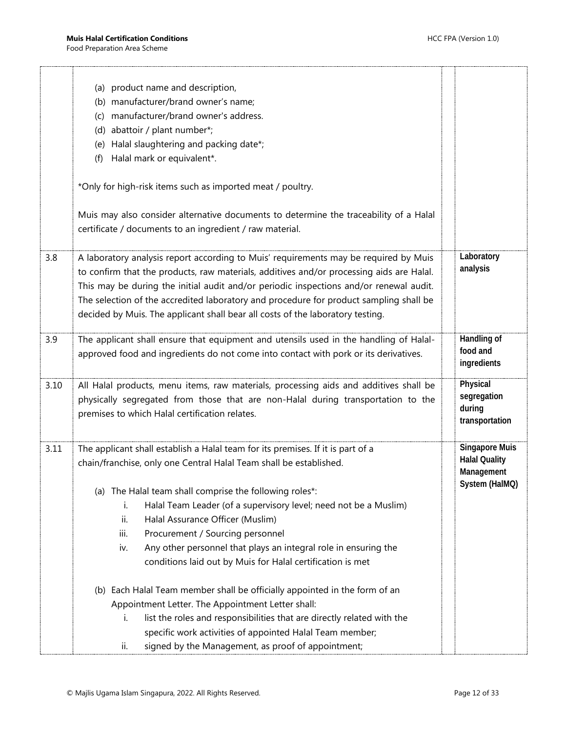$\mathbf{r}$ 

|      | (a) product name and description,                                                                                                                                                                                                                                                                                                                                                                                                                      |                                                             |
|------|--------------------------------------------------------------------------------------------------------------------------------------------------------------------------------------------------------------------------------------------------------------------------------------------------------------------------------------------------------------------------------------------------------------------------------------------------------|-------------------------------------------------------------|
|      | (b) manufacturer/brand owner's name;                                                                                                                                                                                                                                                                                                                                                                                                                   |                                                             |
|      | manufacturer/brand owner's address.<br>(C)                                                                                                                                                                                                                                                                                                                                                                                                             |                                                             |
|      | (d) abattoir / plant number*;                                                                                                                                                                                                                                                                                                                                                                                                                          |                                                             |
|      | Halal slaughtering and packing date*;<br>(e)                                                                                                                                                                                                                                                                                                                                                                                                           |                                                             |
|      | Halal mark or equivalent*.<br>(f)                                                                                                                                                                                                                                                                                                                                                                                                                      |                                                             |
|      | *Only for high-risk items such as imported meat / poultry.                                                                                                                                                                                                                                                                                                                                                                                             |                                                             |
|      | Muis may also consider alternative documents to determine the traceability of a Halal<br>certificate / documents to an ingredient / raw material.                                                                                                                                                                                                                                                                                                      |                                                             |
| 3.8  | A laboratory analysis report according to Muis' requirements may be required by Muis<br>to confirm that the products, raw materials, additives and/or processing aids are Halal.<br>This may be during the initial audit and/or periodic inspections and/or renewal audit.<br>The selection of the accredited laboratory and procedure for product sampling shall be<br>decided by Muis. The applicant shall bear all costs of the laboratory testing. | Laboratory<br>analysis                                      |
| 3.9  | The applicant shall ensure that equipment and utensils used in the handling of Halal-<br>approved food and ingredients do not come into contact with pork or its derivatives.                                                                                                                                                                                                                                                                          | Handling of<br>food and<br>ingredients                      |
| 3.10 | All Halal products, menu items, raw materials, processing aids and additives shall be<br>physically segregated from those that are non-Halal during transportation to the<br>premises to which Halal certification relates.                                                                                                                                                                                                                            | Physical<br>segregation<br>during<br>transportation         |
| 3.11 | The applicant shall establish a Halal team for its premises. If it is part of a<br>chain/franchise, only one Central Halal Team shall be established.                                                                                                                                                                                                                                                                                                  | <b>Singapore Muis</b><br><b>Halal Quality</b><br>Management |
|      | (a) The Halal team shall comprise the following roles*:                                                                                                                                                                                                                                                                                                                                                                                                | System (HalMQ)                                              |
|      | Halal Team Leader (of a supervisory level; need not be a Muslim)<br>i.                                                                                                                                                                                                                                                                                                                                                                                 |                                                             |
|      | ii.<br>Halal Assurance Officer (Muslim)                                                                                                                                                                                                                                                                                                                                                                                                                |                                                             |
|      | iii.<br>Procurement / Sourcing personnel                                                                                                                                                                                                                                                                                                                                                                                                               |                                                             |
|      | Any other personnel that plays an integral role in ensuring the<br>iv.                                                                                                                                                                                                                                                                                                                                                                                 |                                                             |
|      | conditions laid out by Muis for Halal certification is met                                                                                                                                                                                                                                                                                                                                                                                             |                                                             |
|      | (b) Each Halal Team member shall be officially appointed in the form of an                                                                                                                                                                                                                                                                                                                                                                             |                                                             |
|      | Appointment Letter. The Appointment Letter shall:                                                                                                                                                                                                                                                                                                                                                                                                      |                                                             |
|      | list the roles and responsibilities that are directly related with the<br>İ.                                                                                                                                                                                                                                                                                                                                                                           |                                                             |
|      | specific work activities of appointed Halal Team member;                                                                                                                                                                                                                                                                                                                                                                                               |                                                             |
|      | signed by the Management, as proof of appointment;<br>ii.                                                                                                                                                                                                                                                                                                                                                                                              |                                                             |
|      |                                                                                                                                                                                                                                                                                                                                                                                                                                                        |                                                             |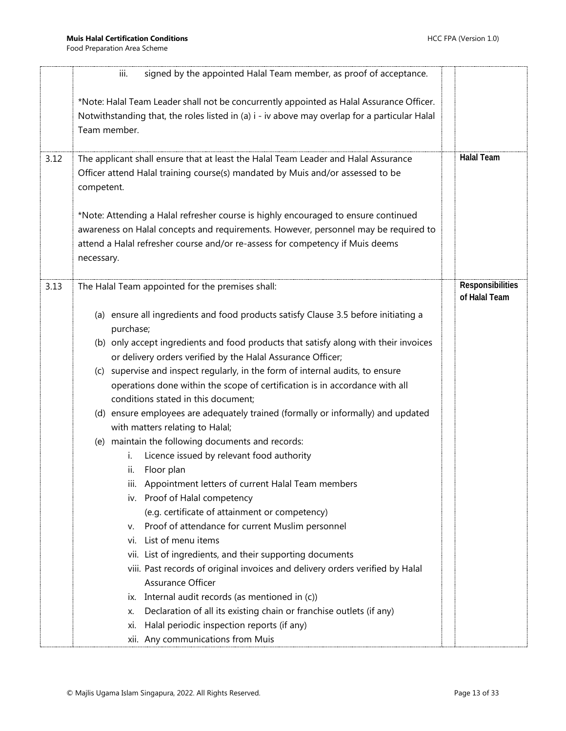|      | signed by the appointed Halal Team member, as proof of acceptance.<br>iii.                                                                                                                                                                                                                                                                                                                                                                                                                                                                                                                                                                                                                                                                                                                                                                                                                                                                                                                                                                                                                                                                                                                                                                                                                                                                              |                                   |
|------|---------------------------------------------------------------------------------------------------------------------------------------------------------------------------------------------------------------------------------------------------------------------------------------------------------------------------------------------------------------------------------------------------------------------------------------------------------------------------------------------------------------------------------------------------------------------------------------------------------------------------------------------------------------------------------------------------------------------------------------------------------------------------------------------------------------------------------------------------------------------------------------------------------------------------------------------------------------------------------------------------------------------------------------------------------------------------------------------------------------------------------------------------------------------------------------------------------------------------------------------------------------------------------------------------------------------------------------------------------|-----------------------------------|
|      | *Note: Halal Team Leader shall not be concurrently appointed as Halal Assurance Officer.<br>Notwithstanding that, the roles listed in (a) i - iv above may overlap for a particular Halal<br>Team member.                                                                                                                                                                                                                                                                                                                                                                                                                                                                                                                                                                                                                                                                                                                                                                                                                                                                                                                                                                                                                                                                                                                                               |                                   |
| 3.12 | The applicant shall ensure that at least the Halal Team Leader and Halal Assurance<br>Officer attend Halal training course(s) mandated by Muis and/or assessed to be<br>competent.                                                                                                                                                                                                                                                                                                                                                                                                                                                                                                                                                                                                                                                                                                                                                                                                                                                                                                                                                                                                                                                                                                                                                                      | <b>Halal Team</b>                 |
|      | *Note: Attending a Halal refresher course is highly encouraged to ensure continued<br>awareness on Halal concepts and requirements. However, personnel may be required to<br>attend a Halal refresher course and/or re-assess for competency if Muis deems<br>necessary.                                                                                                                                                                                                                                                                                                                                                                                                                                                                                                                                                                                                                                                                                                                                                                                                                                                                                                                                                                                                                                                                                |                                   |
| 3.13 | The Halal Team appointed for the premises shall:                                                                                                                                                                                                                                                                                                                                                                                                                                                                                                                                                                                                                                                                                                                                                                                                                                                                                                                                                                                                                                                                                                                                                                                                                                                                                                        | Responsibilities<br>of Halal Team |
|      | (a) ensure all ingredients and food products satisfy Clause 3.5 before initiating a<br>purchase;<br>(b) only accept ingredients and food products that satisfy along with their invoices<br>or delivery orders verified by the Halal Assurance Officer;<br>(c) supervise and inspect regularly, in the form of internal audits, to ensure<br>operations done within the scope of certification is in accordance with all<br>conditions stated in this document;<br>(d) ensure employees are adequately trained (formally or informally) and updated<br>with matters relating to Halal;<br>(e) maintain the following documents and records:<br>Licence issued by relevant food authority<br>i.<br>Floor plan<br>ii.<br>iii. Appointment letters of current Halal Team members<br>iv. Proof of Halal competency<br>(e.g. certificate of attainment or competency)<br>Proof of attendance for current Muslim personnel<br>v.<br>List of menu items<br>vi.<br>vii. List of ingredients, and their supporting documents<br>viii. Past records of original invoices and delivery orders verified by Halal<br>Assurance Officer<br>Internal audit records (as mentioned in (c))<br>IX.<br>Declaration of all its existing chain or franchise outlets (if any)<br>х.<br>Halal periodic inspection reports (if any)<br>Xİ.<br>xii. Any communications from Muis |                                   |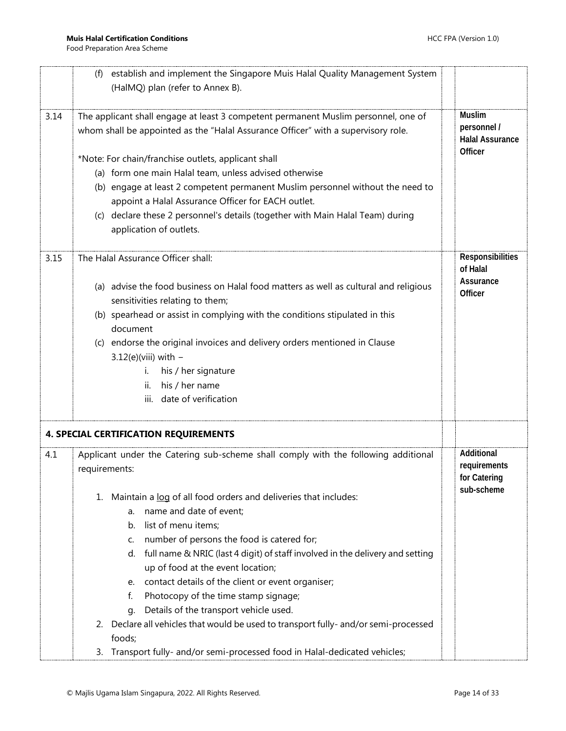<span id="page-13-0"></span>

|      | establish and implement the Singapore Muis Halal Quality Management System<br>(f)    |                                       |
|------|--------------------------------------------------------------------------------------|---------------------------------------|
|      | (HalMQ) plan (refer to Annex B).                                                     |                                       |
|      |                                                                                      |                                       |
| 3.14 | The applicant shall engage at least 3 competent permanent Muslim personnel, one of   | <b>Muslim</b>                         |
|      | whom shall be appointed as the "Halal Assurance Officer" with a supervisory role.    | personnel /<br><b>Halal Assurance</b> |
|      | *Note: For chain/franchise outlets, applicant shall                                  | Officer                               |
|      | (a) form one main Halal team, unless advised otherwise                               |                                       |
|      | (b) engage at least 2 competent permanent Muslim personnel without the need to       |                                       |
|      | appoint a Halal Assurance Officer for EACH outlet.                                   |                                       |
|      | (c) declare these 2 personnel's details (together with Main Halal Team) during       |                                       |
|      | application of outlets.                                                              |                                       |
| 3.15 | The Halal Assurance Officer shall:                                                   | Responsibilities                      |
|      |                                                                                      | of Halal                              |
|      | (a) advise the food business on Halal food matters as well as cultural and religious | Assurance<br>Officer                  |
|      | sensitivities relating to them;                                                      |                                       |
|      | (b) spearhead or assist in complying with the conditions stipulated in this          |                                       |
|      | document                                                                             |                                       |
|      | (c) endorse the original invoices and delivery orders mentioned in Clause            |                                       |
|      | $3.12(e)$ (viii) with -                                                              |                                       |
|      | his / her signature<br>i.                                                            |                                       |
|      | his / her name<br>ii.                                                                |                                       |
|      | date of verification<br>iii.                                                         |                                       |
|      |                                                                                      |                                       |
|      | <b>4. SPECIAL CERTIFICATION REQUIREMENTS</b>                                         |                                       |
| 4.1  | Applicant under the Catering sub-scheme shall comply with the following additional   | Additional                            |
|      | requirements:                                                                        | requirements                          |
|      |                                                                                      | for Catering<br>sub-scheme            |
|      | 1. Maintain a log of all food orders and deliveries that includes:                   |                                       |
|      | name and date of event;<br>a.                                                        |                                       |
|      | list of menu items;<br>b.                                                            |                                       |
|      | number of persons the food is catered for;<br>C.                                     |                                       |
|      | full name & NRIC (last 4 digit) of staff involved in the delivery and setting<br>d.  |                                       |
|      | up of food at the event location;                                                    |                                       |
|      | e. contact details of the client or event organiser;                                 |                                       |
|      | Photocopy of the time stamp signage;<br>f.                                           |                                       |
|      | Details of the transport vehicle used.<br>q.                                         |                                       |
|      | 2. Declare all vehicles that would be used to transport fully- and/or semi-processed |                                       |
|      | foods;                                                                               |                                       |
|      | 3. Transport fully- and/or semi-processed food in Halal-dedicated vehicles;          |                                       |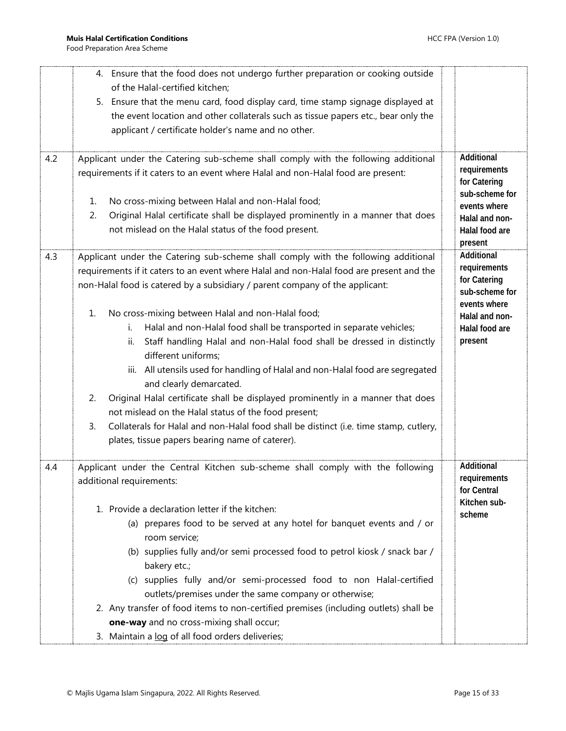|     | 4. Ensure that the food does not undergo further preparation or cooking outside                                                                                          |                                                |
|-----|--------------------------------------------------------------------------------------------------------------------------------------------------------------------------|------------------------------------------------|
|     | of the Halal-certified kitchen;                                                                                                                                          |                                                |
|     | 5. Ensure that the menu card, food display card, time stamp signage displayed at                                                                                         |                                                |
|     | the event location and other collaterals such as tissue papers etc., bear only the                                                                                       |                                                |
|     | applicant / certificate holder's name and no other.                                                                                                                      |                                                |
| 4.2 | Applicant under the Catering sub-scheme shall comply with the following additional                                                                                       | Additional                                     |
|     | requirements if it caters to an event where Halal and non-Halal food are present:                                                                                        | requirements<br>for Catering                   |
|     | No cross-mixing between Halal and non-Halal food;<br>1.                                                                                                                  | sub-scheme for                                 |
|     | 2.<br>Original Halal certificate shall be displayed prominently in a manner that does                                                                                    | events where<br>Halal and non-                 |
|     | not mislead on the Halal status of the food present.                                                                                                                     | Halal food are                                 |
|     |                                                                                                                                                                          | present                                        |
| 4.3 | Applicant under the Catering sub-scheme shall comply with the following additional                                                                                       | Additional                                     |
|     | requirements if it caters to an event where Halal and non-Halal food are present and the<br>non-Halal food is catered by a subsidiary / parent company of the applicant: | requirements<br>for Catering<br>sub-scheme for |
|     |                                                                                                                                                                          | events where                                   |
|     | No cross-mixing between Halal and non-Halal food;<br>1.                                                                                                                  | Halal and non-                                 |
|     | Halal and non-Halal food shall be transported in separate vehicles;<br>i.                                                                                                | Halal food are                                 |
|     | Staff handling Halal and non-Halal food shall be dressed in distinctly<br>ii.<br>different uniforms;                                                                     | present                                        |
|     | iii. All utensils used for handling of Halal and non-Halal food are segregated<br>and clearly demarcated.                                                                |                                                |
|     | Original Halal certificate shall be displayed prominently in a manner that does<br>2.<br>not mislead on the Halal status of the food present;                            |                                                |
|     | 3.<br>Collaterals for Halal and non-Halal food shall be distinct (i.e. time stamp, cutlery,                                                                              |                                                |
|     | plates, tissue papers bearing name of caterer).                                                                                                                          |                                                |
| 4.4 | Applicant under the Central Kitchen sub-scheme shall comply with the following                                                                                           | Additional<br>requirements                     |
|     | additional requirements:                                                                                                                                                 | for Central                                    |
|     | 1. Provide a declaration letter if the kitchen:                                                                                                                          | Kitchen sub-<br>scheme                         |
|     | (a) prepares food to be served at any hotel for banquet events and / or<br>room service;                                                                                 |                                                |
|     | (b) supplies fully and/or semi processed food to petrol kiosk / snack bar /<br>bakery etc.;                                                                              |                                                |
|     | (c) supplies fully and/or semi-processed food to non Halal-certified                                                                                                     |                                                |
|     | outlets/premises under the same company or otherwise;                                                                                                                    |                                                |
|     | 2. Any transfer of food items to non-certified premises (including outlets) shall be                                                                                     |                                                |
|     | one-way and no cross-mixing shall occur;                                                                                                                                 |                                                |
|     | 3. Maintain a log of all food orders deliveries;                                                                                                                         |                                                |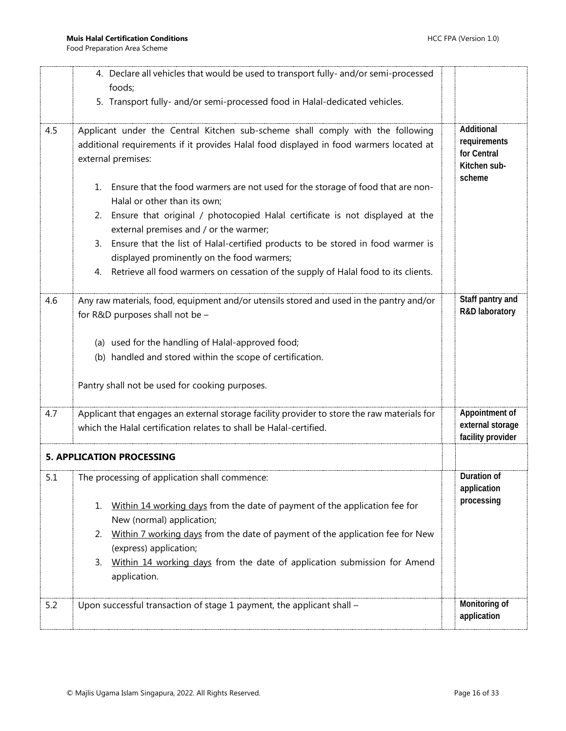<span id="page-15-0"></span>

|     | 4. Declare all vehicles that would be used to transport fully- and/or semi-processed                                      |                                       |
|-----|---------------------------------------------------------------------------------------------------------------------------|---------------------------------------|
|     | foods;<br>5. Transport fully- and/or semi-processed food in Halal-dedicated vehicles.                                     |                                       |
|     |                                                                                                                           |                                       |
| 4.5 | Applicant under the Central Kitchen sub-scheme shall comply with the following                                            | Additional                            |
|     | additional requirements if it provides Halal food displayed in food warmers located at                                    | requirements<br>for Central           |
|     | external premises:                                                                                                        | Kitchen sub-                          |
|     | Ensure that the food warmers are not used for the storage of food that are non-<br>1.                                     | scheme                                |
|     | Halal or other than its own;                                                                                              |                                       |
|     | 2. Ensure that original / photocopied Halal certificate is not displayed at the<br>external premises and / or the warmer; |                                       |
|     | 3. Ensure that the list of Halal-certified products to be stored in food warmer is                                        |                                       |
|     | displayed prominently on the food warmers;                                                                                |                                       |
|     | Retrieve all food warmers on cessation of the supply of Halal food to its clients.<br>4.                                  |                                       |
| 4.6 | Any raw materials, food, equipment and/or utensils stored and used in the pantry and/or                                   | Staff pantry and                      |
|     | for R&D purposes shall not be -                                                                                           | R&D laboratory                        |
|     |                                                                                                                           |                                       |
|     | (a) used for the handling of Halal-approved food;<br>(b) handled and stored within the scope of certification.            |                                       |
|     |                                                                                                                           |                                       |
|     | Pantry shall not be used for cooking purposes.                                                                            |                                       |
|     |                                                                                                                           |                                       |
| 4.7 | Applicant that engages an external storage facility provider to store the raw materials for                               | Appointment of                        |
|     | which the Halal certification relates to shall be Halal-certified.                                                        | external storage<br>facility provider |
|     | <b>5. APPLICATION PROCESSING</b>                                                                                          |                                       |
| 5.1 | The processing of application shall commence:                                                                             | Duration of                           |
|     |                                                                                                                           | application                           |
|     | Within 14 working days from the date of payment of the application fee for<br>1.                                          | processing                            |
|     | New (normal) application;                                                                                                 |                                       |
|     | Within 7 working days from the date of payment of the application fee for New<br>2.                                       |                                       |
|     | (express) application;                                                                                                    |                                       |
|     | Within 14 working days from the date of application submission for Amend<br>3.<br>application.                            |                                       |
|     |                                                                                                                           |                                       |
| 5.2 | Upon successful transaction of stage 1 payment, the applicant shall -                                                     | Monitoring of                         |
|     |                                                                                                                           | application                           |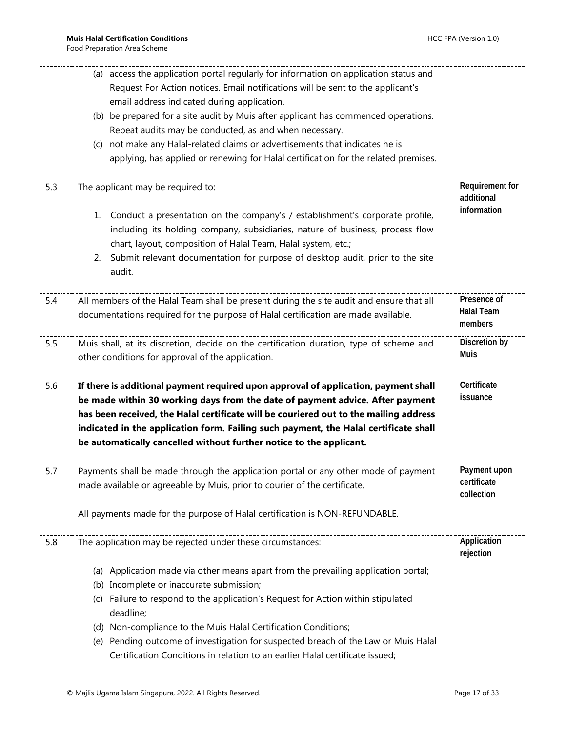|     | (a) access the application portal regularly for information on application status and                                                                                 |                           |
|-----|-----------------------------------------------------------------------------------------------------------------------------------------------------------------------|---------------------------|
|     | Request For Action notices. Email notifications will be sent to the applicant's                                                                                       |                           |
|     | email address indicated during application.                                                                                                                           |                           |
|     | (b) be prepared for a site audit by Muis after applicant has commenced operations.                                                                                    |                           |
|     | Repeat audits may be conducted, as and when necessary.                                                                                                                |                           |
|     | not make any Halal-related claims or advertisements that indicates he is<br>(c)                                                                                       |                           |
|     | applying, has applied or renewing for Halal certification for the related premises.                                                                                   |                           |
|     |                                                                                                                                                                       |                           |
| 5.3 | The applicant may be required to:                                                                                                                                     | Requirement for           |
|     |                                                                                                                                                                       | additional<br>information |
|     | 1. Conduct a presentation on the company's / establishment's corporate profile,                                                                                       |                           |
|     | including its holding company, subsidiaries, nature of business, process flow                                                                                         |                           |
|     | chart, layout, composition of Halal Team, Halal system, etc.;                                                                                                         |                           |
|     | Submit relevant documentation for purpose of desktop audit, prior to the site<br>2.                                                                                   |                           |
|     | audit.                                                                                                                                                                |                           |
| 5.4 | All members of the Halal Team shall be present during the site audit and ensure that all                                                                              | Presence of               |
|     | documentations required for the purpose of Halal certification are made available.                                                                                    | <b>Halal Team</b>         |
|     |                                                                                                                                                                       | members                   |
| 5.5 | Muis shall, at its discretion, decide on the certification duration, type of scheme and                                                                               | Discretion by             |
|     | other conditions for approval of the application.                                                                                                                     | <b>Muis</b>               |
|     |                                                                                                                                                                       |                           |
| 5.6 | If there is additional payment required upon approval of application, payment shall                                                                                   | Certificate               |
|     | be made within 30 working days from the date of payment advice. After payment                                                                                         | issuance                  |
|     | has been received, the Halal certificate will be couriered out to the mailing address                                                                                 |                           |
|     | indicated in the application form. Failing such payment, the Halal certificate shall                                                                                  |                           |
|     | be automatically cancelled without further notice to the applicant.                                                                                                   |                           |
|     | Payments shall be made through the application portal or any other mode of payment                                                                                    | Payment upon              |
| 5.7 |                                                                                                                                                                       | certificate               |
|     | made available or agreeable by Muis, prior to courier of the certificate.                                                                                             | collection                |
|     | All payments made for the purpose of Halal certification is NON-REFUNDABLE.                                                                                           |                           |
|     |                                                                                                                                                                       |                           |
| 5.8 | The application may be rejected under these circumstances:                                                                                                            | Application               |
|     |                                                                                                                                                                       | rejection                 |
|     | (a) Application made via other means apart from the prevailing application portal;                                                                                    |                           |
|     | (b) Incomplete or inaccurate submission;                                                                                                                              |                           |
|     | Failure to respond to the application's Request for Action within stipulated<br>(C)                                                                                   |                           |
|     | deadline;                                                                                                                                                             |                           |
|     | (d) Non-compliance to the Muis Halal Certification Conditions;                                                                                                        |                           |
|     |                                                                                                                                                                       |                           |
|     | Pending outcome of investigation for suspected breach of the Law or Muis Halal<br>(e)<br>Certification Conditions in relation to an earlier Halal certificate issued; |                           |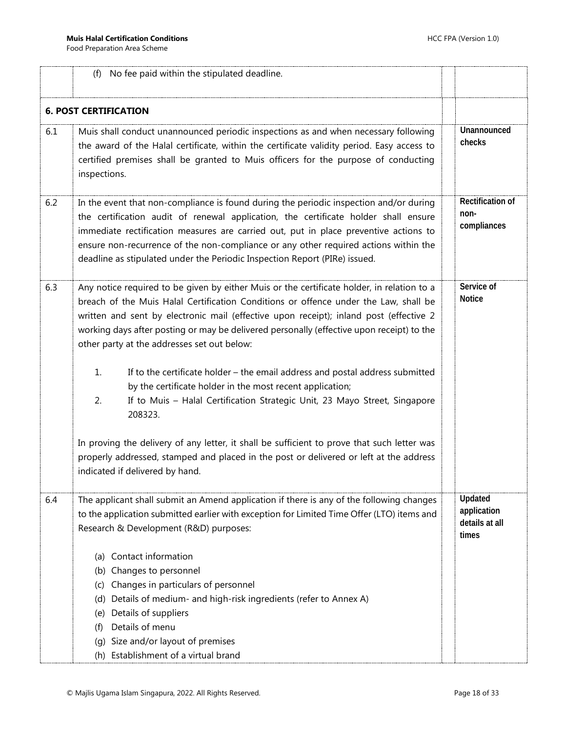<span id="page-17-0"></span>

|     | No fee paid within the stipulated deadline.<br>(f)                                                                                                                                                                                                                                                                                                                                                                                                                                                                                                                                                                                                                          |                                                   |
|-----|-----------------------------------------------------------------------------------------------------------------------------------------------------------------------------------------------------------------------------------------------------------------------------------------------------------------------------------------------------------------------------------------------------------------------------------------------------------------------------------------------------------------------------------------------------------------------------------------------------------------------------------------------------------------------------|---------------------------------------------------|
|     | <b>6. POST CERTIFICATION</b>                                                                                                                                                                                                                                                                                                                                                                                                                                                                                                                                                                                                                                                |                                                   |
| 6.1 | Muis shall conduct unannounced periodic inspections as and when necessary following<br>the award of the Halal certificate, within the certificate validity period. Easy access to<br>certified premises shall be granted to Muis officers for the purpose of conducting<br>inspections.                                                                                                                                                                                                                                                                                                                                                                                     | Unannounced<br>checks                             |
| 6.2 | In the event that non-compliance is found during the periodic inspection and/or during<br>the certification audit of renewal application, the certificate holder shall ensure<br>immediate rectification measures are carried out, put in place preventive actions to<br>ensure non-recurrence of the non-compliance or any other required actions within the<br>deadline as stipulated under the Periodic Inspection Report (PIRe) issued.                                                                                                                                                                                                                                 | Rectification of<br>non-<br>compliances           |
| 6.3 | Any notice required to be given by either Muis or the certificate holder, in relation to a<br>breach of the Muis Halal Certification Conditions or offence under the Law, shall be<br>written and sent by electronic mail (effective upon receipt); inland post (effective 2<br>working days after posting or may be delivered personally (effective upon receipt) to the<br>other party at the addresses set out below:<br>If to the certificate holder - the email address and postal address submitted<br>1.<br>by the certificate holder in the most recent application;<br>If to Muis - Halal Certification Strategic Unit, 23 Mayo Street, Singapore<br>2.<br>208323. | Service of<br><b>Notice</b>                       |
|     | In proving the delivery of any letter, it shall be sufficient to prove that such letter was<br>properly addressed, stamped and placed in the post or delivered or left at the address<br>indicated if delivered by hand.                                                                                                                                                                                                                                                                                                                                                                                                                                                    |                                                   |
| 6.4 | The applicant shall submit an Amend application if there is any of the following changes<br>to the application submitted earlier with exception for Limited Time Offer (LTO) items and<br>Research & Development (R&D) purposes:<br>(a) Contact information<br>Changes to personnel<br>(b)<br>Changes in particulars of personnel<br>(C)<br>Details of medium- and high-risk ingredients (refer to Annex A)<br>(d)<br>Details of suppliers<br>(e)<br>Details of menu<br>(f)                                                                                                                                                                                                 | Updated<br>application<br>details at all<br>times |
|     | Size and/or layout of premises<br>(a)<br>(h) Establishment of a virtual brand                                                                                                                                                                                                                                                                                                                                                                                                                                                                                                                                                                                               |                                                   |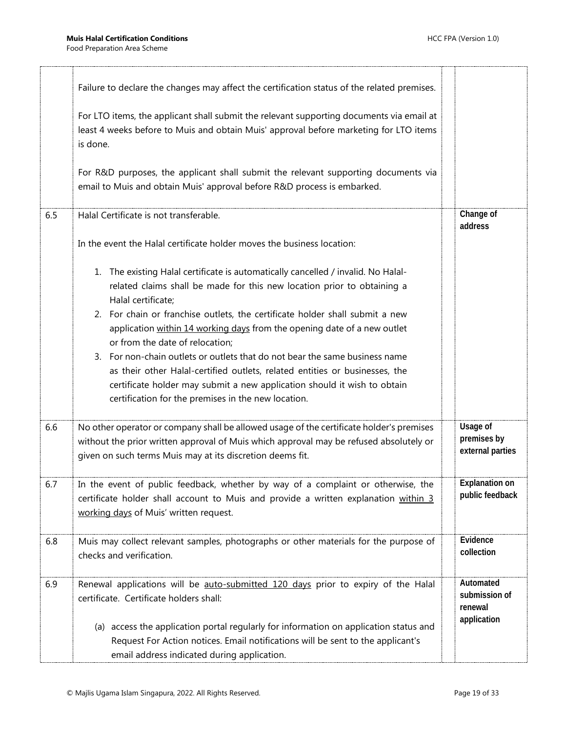|     | Failure to declare the changes may affect the certification status of the related premises.<br>For LTO items, the applicant shall submit the relevant supporting documents via email at<br>least 4 weeks before to Muis and obtain Muis' approval before marketing for LTO items<br>is done.<br>For R&D purposes, the applicant shall submit the relevant supporting documents via<br>email to Muis and obtain Muis' approval before R&D process is embarked.                                                                                                                                                                                                                      |                                                      |
|-----|------------------------------------------------------------------------------------------------------------------------------------------------------------------------------------------------------------------------------------------------------------------------------------------------------------------------------------------------------------------------------------------------------------------------------------------------------------------------------------------------------------------------------------------------------------------------------------------------------------------------------------------------------------------------------------|------------------------------------------------------|
| 6.5 | Halal Certificate is not transferable.<br>In the event the Halal certificate holder moves the business location:                                                                                                                                                                                                                                                                                                                                                                                                                                                                                                                                                                   | Change of<br>address                                 |
|     | 1. The existing Halal certificate is automatically cancelled / invalid. No Halal-<br>related claims shall be made for this new location prior to obtaining a<br>Halal certificate;<br>2. For chain or franchise outlets, the certificate holder shall submit a new<br>application within 14 working days from the opening date of a new outlet<br>or from the date of relocation;<br>3. For non-chain outlets or outlets that do not bear the same business name<br>as their other Halal-certified outlets, related entities or businesses, the<br>certificate holder may submit a new application should it wish to obtain<br>certification for the premises in the new location. |                                                      |
| 6.6 | No other operator or company shall be allowed usage of the certificate holder's premises<br>without the prior written approval of Muis which approval may be refused absolutely or<br>given on such terms Muis may at its discretion deems fit.                                                                                                                                                                                                                                                                                                                                                                                                                                    | Usage of<br>premises by<br>external parties          |
| 6.7 | In the event of public feedback, whether by way of a complaint or otherwise, the<br>certificate holder shall account to Muis and provide a written explanation within 3<br>working days of Muis' written request.                                                                                                                                                                                                                                                                                                                                                                                                                                                                  | <b>Explanation on</b><br>public feedback             |
| 6.8 | Muis may collect relevant samples, photographs or other materials for the purpose of<br>checks and verification.                                                                                                                                                                                                                                                                                                                                                                                                                                                                                                                                                                   | Evidence<br>collection                               |
| 6.9 | Renewal applications will be auto-submitted 120 days prior to expiry of the Halal<br>certificate. Certificate holders shall:<br>(a) access the application portal regularly for information on application status and<br>Request For Action notices. Email notifications will be sent to the applicant's<br>email address indicated during application.                                                                                                                                                                                                                                                                                                                            | Automated<br>submission of<br>renewal<br>application |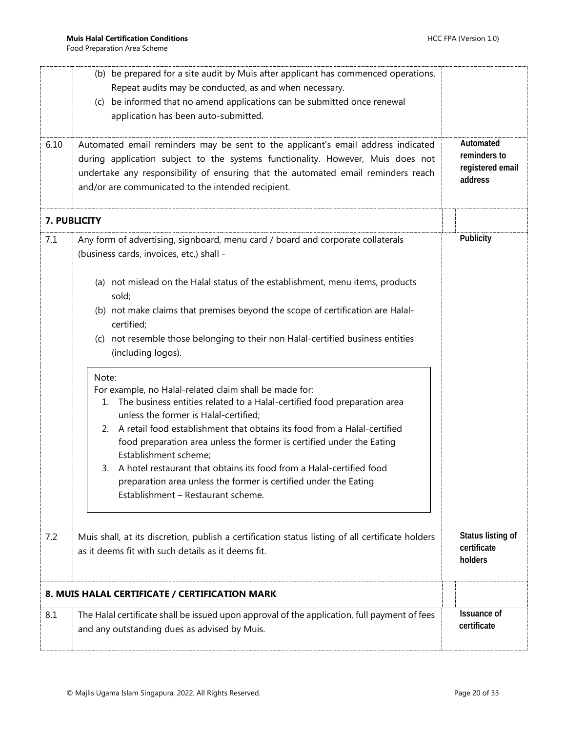<span id="page-19-1"></span><span id="page-19-0"></span>

|      | (b) be prepared for a site audit by Muis after applicant has commenced operations.<br>Repeat audits may be conducted, as and when necessary.<br>(c) be informed that no amend applications can be submitted once renewal<br>application has been auto-submitted.                                               |                                   |  |  |  |  |  |  |
|------|----------------------------------------------------------------------------------------------------------------------------------------------------------------------------------------------------------------------------------------------------------------------------------------------------------------|-----------------------------------|--|--|--|--|--|--|
| 6.10 | Automated email reminders may be sent to the applicant's email address indicated<br>during application subject to the systems functionality. However, Muis does not<br>undertake any responsibility of ensuring that the automated email reminders reach<br>and/or are communicated to the intended recipient. |                                   |  |  |  |  |  |  |
|      | 7. PUBLICITY                                                                                                                                                                                                                                                                                                   |                                   |  |  |  |  |  |  |
| 7.1  | Any form of advertising, signboard, menu card / board and corporate collaterals<br>(business cards, invoices, etc.) shall -                                                                                                                                                                                    | Publicity                         |  |  |  |  |  |  |
|      | (a) not mislead on the Halal status of the establishment, menu items, products<br>sold;                                                                                                                                                                                                                        |                                   |  |  |  |  |  |  |
|      | (b) not make claims that premises beyond the scope of certification are Halal-<br>certified;                                                                                                                                                                                                                   |                                   |  |  |  |  |  |  |
|      | (c) not resemble those belonging to their non Halal-certified business entities<br>(including logos).                                                                                                                                                                                                          |                                   |  |  |  |  |  |  |
|      | Note:<br>For example, no Halal-related claim shall be made for:<br>The business entities related to a Halal-certified food preparation area<br>1.<br>unless the former is Halal-certified;                                                                                                                     |                                   |  |  |  |  |  |  |
|      | A retail food establishment that obtains its food from a Halal-certified<br>2.<br>food preparation area unless the former is certified under the Eating<br>Establishment scheme;                                                                                                                               |                                   |  |  |  |  |  |  |
|      | A hotel restaurant that obtains its food from a Halal-certified food<br>3.<br>preparation area unless the former is certified under the Eating<br>Establishment - Restaurant scheme.                                                                                                                           |                                   |  |  |  |  |  |  |
| 7.2  | Muis shall, at its discretion, publish a certification status listing of all certificate holders<br>as it deems fit with such details as it deems fit.                                                                                                                                                         |                                   |  |  |  |  |  |  |
|      | 8. MUIS HALAL CERTIFICATE / CERTIFICATION MARK                                                                                                                                                                                                                                                                 |                                   |  |  |  |  |  |  |
| 8.1  | The Halal certificate shall be issued upon approval of the application, full payment of fees<br>and any outstanding dues as advised by Muis.                                                                                                                                                                   | <b>Issuance of</b><br>certificate |  |  |  |  |  |  |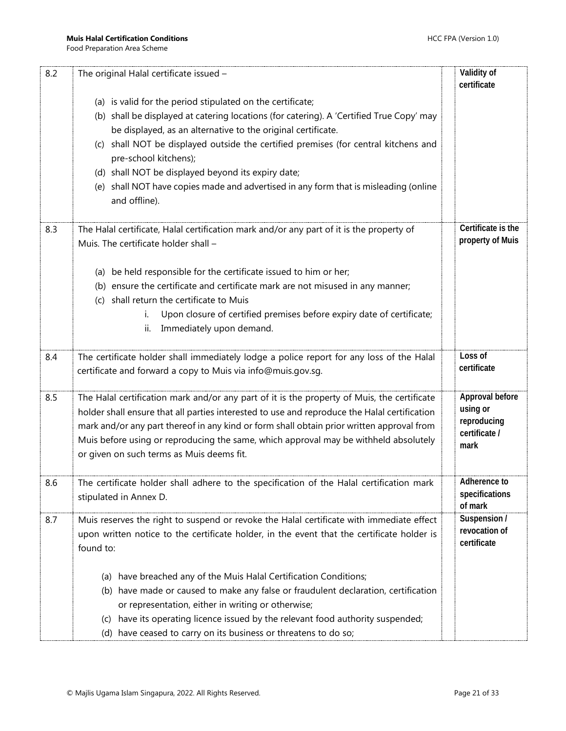| 8.2 | The original Halal certificate issued -                                                                                                                                                                                                                                                                                                                                                                                                                                                                    | Validity of<br>certificate                                          |
|-----|------------------------------------------------------------------------------------------------------------------------------------------------------------------------------------------------------------------------------------------------------------------------------------------------------------------------------------------------------------------------------------------------------------------------------------------------------------------------------------------------------------|---------------------------------------------------------------------|
|     | (a) is valid for the period stipulated on the certificate;<br>(b) shall be displayed at catering locations (for catering). A 'Certified True Copy' may<br>be displayed, as an alternative to the original certificate.<br>(c) shall NOT be displayed outside the certified premises (for central kitchens and<br>pre-school kitchens);<br>(d) shall NOT be displayed beyond its expiry date;<br>(e) shall NOT have copies made and advertised in any form that is misleading (online<br>and offline).      |                                                                     |
| 8.3 | The Halal certificate, Halal certification mark and/or any part of it is the property of<br>Muis. The certificate holder shall -<br>(a) be held responsible for the certificate issued to him or her;<br>(b) ensure the certificate and certificate mark are not misused in any manner;<br>shall return the certificate to Muis<br>(C)<br>Upon closure of certified premises before expiry date of certificate;<br>i.<br>Immediately upon demand.<br>ii.                                                   | Certificate is the<br>property of Muis                              |
| 8.4 | The certificate holder shall immediately lodge a police report for any loss of the Halal<br>certificate and forward a copy to Muis via info@muis.gov.sg.                                                                                                                                                                                                                                                                                                                                                   | Loss of<br>certificate                                              |
| 8.5 | The Halal certification mark and/or any part of it is the property of Muis, the certificate<br>holder shall ensure that all parties interested to use and reproduce the Halal certification<br>mark and/or any part thereof in any kind or form shall obtain prior written approval from<br>Muis before using or reproducing the same, which approval may be withheld absolutely<br>or given on such terms as Muis deems fit.                                                                              | Approval before<br>using or<br>reproducing<br>certificate /<br>mark |
| 8.6 | The certificate holder shall adhere to the specification of the Halal certification mark<br>stipulated in Annex D.                                                                                                                                                                                                                                                                                                                                                                                         | Adherence to<br>specifications<br>of mark                           |
| 8.7 | Muis reserves the right to suspend or revoke the Halal certificate with immediate effect<br>upon written notice to the certificate holder, in the event that the certificate holder is<br>found to:<br>(a) have breached any of the Muis Halal Certification Conditions;<br>(b) have made or caused to make any false or fraudulent declaration, certification<br>or representation, either in writing or otherwise;<br>have its operating licence issued by the relevant food authority suspended;<br>(C) | Suspension /<br>revocation of<br>certificate                        |
|     | (d) have ceased to carry on its business or threatens to do so;                                                                                                                                                                                                                                                                                                                                                                                                                                            |                                                                     |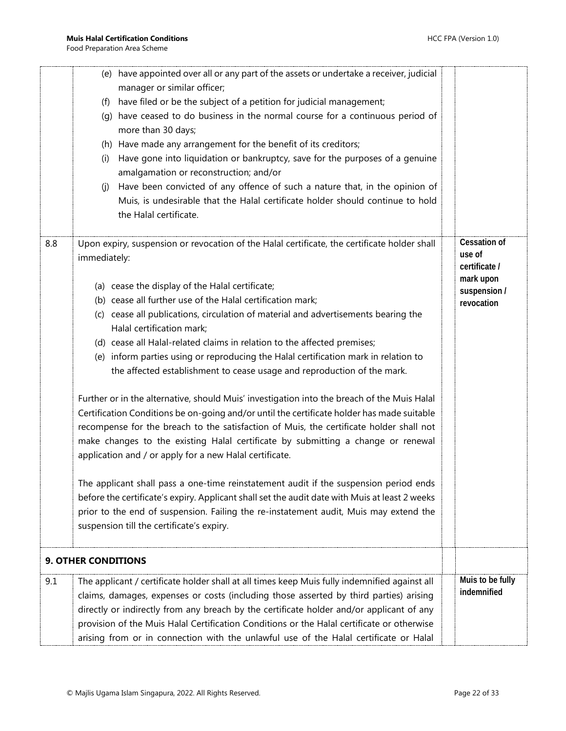<span id="page-21-0"></span>

|     | have appointed over all or any part of the assets or undertake a receiver, judicial<br>(e)<br>manager or similar officer;<br>have filed or be the subject of a petition for judicial management;<br>(f)<br>have ceased to do business in the normal course for a continuous period of<br>(q)<br>more than 30 days;<br>(h) Have made any arrangement for the benefit of its creditors;<br>Have gone into liquidation or bankruptcy, save for the purposes of a genuine<br>(i)<br>amalgamation or reconstruction; and/or<br>Have been convicted of any offence of such a nature that, in the opinion of<br>(j)<br>Muis, is undesirable that the Halal certificate holder should continue to hold<br>the Halal certificate.                                                                                                                                                                                                                                                                                                                                                                                                                                                                                                                                                                                                                                               |                                                                                           |
|-----|------------------------------------------------------------------------------------------------------------------------------------------------------------------------------------------------------------------------------------------------------------------------------------------------------------------------------------------------------------------------------------------------------------------------------------------------------------------------------------------------------------------------------------------------------------------------------------------------------------------------------------------------------------------------------------------------------------------------------------------------------------------------------------------------------------------------------------------------------------------------------------------------------------------------------------------------------------------------------------------------------------------------------------------------------------------------------------------------------------------------------------------------------------------------------------------------------------------------------------------------------------------------------------------------------------------------------------------------------------------------|-------------------------------------------------------------------------------------------|
| 8.8 | Upon expiry, suspension or revocation of the Halal certificate, the certificate holder shall<br>immediately:<br>(a) cease the display of the Halal certificate;<br>(b) cease all further use of the Halal certification mark;<br>(c) cease all publications, circulation of material and advertisements bearing the<br>Halal certification mark;<br>(d) cease all Halal-related claims in relation to the affected premises;<br>(e) inform parties using or reproducing the Halal certification mark in relation to<br>the affected establishment to cease usage and reproduction of the mark.<br>Further or in the alternative, should Muis' investigation into the breach of the Muis Halal<br>Certification Conditions be on-going and/or until the certificate holder has made suitable<br>recompense for the breach to the satisfaction of Muis, the certificate holder shall not<br>make changes to the existing Halal certificate by submitting a change or renewal<br>application and / or apply for a new Halal certificate.<br>The applicant shall pass a one-time reinstatement audit if the suspension period ends<br>before the certificate's expiry. Applicant shall set the audit date with Muis at least 2 weeks<br>prior to the end of suspension. Failing the re-instatement audit, Muis may extend the<br>suspension till the certificate's expiry. | <b>Cessation of</b><br>use of<br>certificate /<br>mark upon<br>suspension /<br>revocation |
|     | <b>9. OTHER CONDITIONS</b>                                                                                                                                                                                                                                                                                                                                                                                                                                                                                                                                                                                                                                                                                                                                                                                                                                                                                                                                                                                                                                                                                                                                                                                                                                                                                                                                             |                                                                                           |
| 9.1 | The applicant / certificate holder shall at all times keep Muis fully indemnified against all<br>claims, damages, expenses or costs (including those asserted by third parties) arising<br>directly or indirectly from any breach by the certificate holder and/or applicant of any<br>provision of the Muis Halal Certification Conditions or the Halal certificate or otherwise<br>arising from or in connection with the unlawful use of the Halal certificate or Halal                                                                                                                                                                                                                                                                                                                                                                                                                                                                                                                                                                                                                                                                                                                                                                                                                                                                                             | Muis to be fully<br>indemnified                                                           |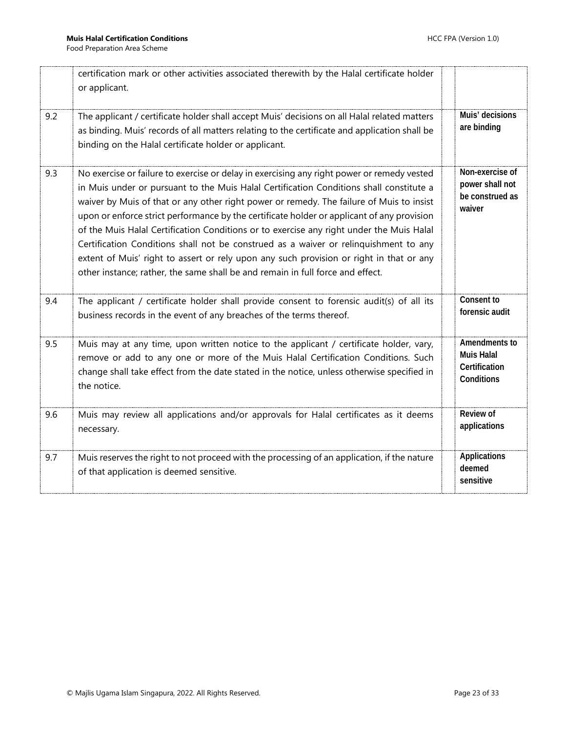|     | certification mark or other activities associated therewith by the Halal certificate holder<br>or applicant.                                                                                                                                                                                                                                                                                                                                                                                                                                                                                                                                                                                                                                     |                                                                   |
|-----|--------------------------------------------------------------------------------------------------------------------------------------------------------------------------------------------------------------------------------------------------------------------------------------------------------------------------------------------------------------------------------------------------------------------------------------------------------------------------------------------------------------------------------------------------------------------------------------------------------------------------------------------------------------------------------------------------------------------------------------------------|-------------------------------------------------------------------|
| 9.2 | The applicant / certificate holder shall accept Muis' decisions on all Halal related matters<br>as binding. Muis' records of all matters relating to the certificate and application shall be<br>binding on the Halal certificate holder or applicant.                                                                                                                                                                                                                                                                                                                                                                                                                                                                                           | Muis' decisions<br>are binding                                    |
| 9.3 | No exercise or failure to exercise or delay in exercising any right power or remedy vested<br>in Muis under or pursuant to the Muis Halal Certification Conditions shall constitute a<br>waiver by Muis of that or any other right power or remedy. The failure of Muis to insist<br>upon or enforce strict performance by the certificate holder or applicant of any provision<br>of the Muis Halal Certification Conditions or to exercise any right under the Muis Halal<br>Certification Conditions shall not be construed as a waiver or relinquishment to any<br>extent of Muis' right to assert or rely upon any such provision or right in that or any<br>other instance; rather, the same shall be and remain in full force and effect. | Non-exercise of<br>power shall not<br>be construed as<br>waiver   |
| 9.4 | The applicant / certificate holder shall provide consent to forensic audit(s) of all its<br>business records in the event of any breaches of the terms thereof.                                                                                                                                                                                                                                                                                                                                                                                                                                                                                                                                                                                  | Consent to<br>forensic audit                                      |
| 9.5 | Muis may at any time, upon written notice to the applicant / certificate holder, vary,<br>remove or add to any one or more of the Muis Halal Certification Conditions. Such<br>change shall take effect from the date stated in the notice, unless otherwise specified in<br>the notice.                                                                                                                                                                                                                                                                                                                                                                                                                                                         | Amendments to<br><b>Muis Halal</b><br>Certification<br>Conditions |
| 9.6 | Muis may review all applications and/or approvals for Halal certificates as it deems<br>necessary.                                                                                                                                                                                                                                                                                                                                                                                                                                                                                                                                                                                                                                               | Review of<br>applications                                         |
| 9.7 | Muis reserves the right to not proceed with the processing of an application, if the nature<br>of that application is deemed sensitive.                                                                                                                                                                                                                                                                                                                                                                                                                                                                                                                                                                                                          | Applications<br>deemed<br>sensitive                               |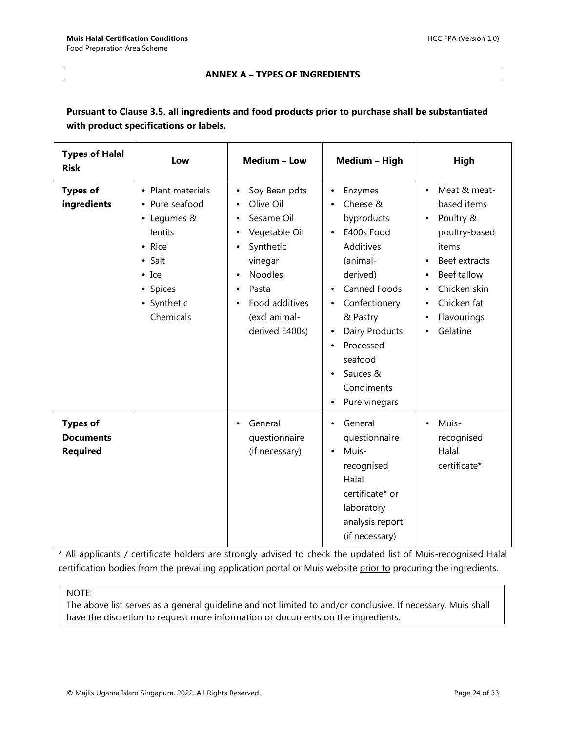#### **ANNEX A – TYPES OF INGREDIENTS**

#### <span id="page-23-0"></span>**Pursuant to Clause 3.5, all ingredients and food products prior to purchase shall be substantiated with product specifications or labels.**

| <b>Types of Halal</b><br><b>Risk</b>                   | Low                                                                                                                                        | Medium - Low                                                                                                                                                      | Medium - High                                                                                                                                                                                                                                                                                             | High                                                                                                                                                                                                                          |
|--------------------------------------------------------|--------------------------------------------------------------------------------------------------------------------------------------------|-------------------------------------------------------------------------------------------------------------------------------------------------------------------|-----------------------------------------------------------------------------------------------------------------------------------------------------------------------------------------------------------------------------------------------------------------------------------------------------------|-------------------------------------------------------------------------------------------------------------------------------------------------------------------------------------------------------------------------------|
| <b>Types of</b><br>ingredients                         | • Plant materials<br>• Pure seafood<br>• Legumes &<br>lentils<br>• Rice<br>• Salt<br>$\bullet$ Ice<br>• Spices<br>• Synthetic<br>Chemicals | Soy Bean pdts<br>Olive Oil<br>Sesame Oil<br>Vegetable Oil<br>Synthetic<br>vinegar<br><b>Noodles</b><br>Pasta<br>Food additives<br>(excl animal-<br>derived E400s) | Enzymes<br>$\bullet$<br>Cheese &<br>byproducts<br>E400s Food<br>$\bullet$<br>Additives<br>(animal-<br>derived)<br>Canned Foods<br>$\bullet$<br>Confectionery<br>$\bullet$<br>& Pastry<br>Dairy Products<br>$\bullet$<br>Processed<br>٠<br>seafood<br>Sauces &<br>Condiments<br>Pure vinegars<br>$\bullet$ | Meat & meat-<br>$\bullet$<br>based items<br>Poultry &<br>$\bullet$<br>poultry-based<br>items<br>Beef extracts<br>Beef tallow<br>$\bullet$<br>Chicken skin<br>Chicken fat<br>$\bullet$<br>Flavourings<br>$\bullet$<br>Gelatine |
| <b>Types of</b><br><b>Documents</b><br><b>Required</b> |                                                                                                                                            | General<br>٠<br>questionnaire<br>(if necessary)                                                                                                                   | General<br>$\bullet$<br>questionnaire<br>Muis-<br>$\bullet$<br>recognised<br>Halal<br>certificate* or<br>laboratory<br>analysis report<br>(if necessary)                                                                                                                                                  | Muis-<br>$\bullet$<br>recognised<br>Halal<br>certificate*                                                                                                                                                                     |

\* All applicants / certificate holders are strongly advised to check the updated list of Muis-recognised Halal certification bodies from the prevailing application portal or Muis website prior to procuring the ingredients.

#### NOTE:

The above list serves as a general guideline and not limited to and/or conclusive. If necessary, Muis shall have the discretion to request more information or documents on the ingredients.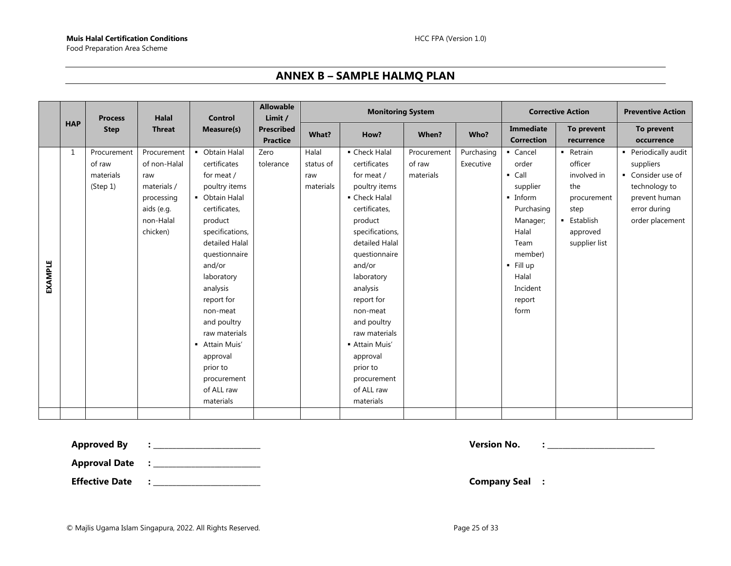#### **ANNEX B – SAMPLE HALMQ PLAN**

<span id="page-24-0"></span>

|                |              | <b>Process</b>                                 | <b>Halal</b>                                                                                           | <b>Control</b>                                                                                                                                                                                                                                                                                                                                                      | <b>Allowable</b><br>Limit /          | <b>Monitoring System</b>               |                                                                                                                                                                                                                                                                                                                                                   |                                    | <b>Corrective Action</b> | <b>Preventive Action</b>                                                                                                                                                     |                                                                                                               |                                                                                                                             |
|----------------|--------------|------------------------------------------------|--------------------------------------------------------------------------------------------------------|---------------------------------------------------------------------------------------------------------------------------------------------------------------------------------------------------------------------------------------------------------------------------------------------------------------------------------------------------------------------|--------------------------------------|----------------------------------------|---------------------------------------------------------------------------------------------------------------------------------------------------------------------------------------------------------------------------------------------------------------------------------------------------------------------------------------------------|------------------------------------|--------------------------|------------------------------------------------------------------------------------------------------------------------------------------------------------------------------|---------------------------------------------------------------------------------------------------------------|-----------------------------------------------------------------------------------------------------------------------------|
|                | <b>HAP</b>   | <b>Step</b>                                    | <b>Threat</b>                                                                                          | Measure(s)                                                                                                                                                                                                                                                                                                                                                          | <b>Prescribed</b><br><b>Practice</b> | What?                                  | How?                                                                                                                                                                                                                                                                                                                                              | When?                              | Who?                     | Immediate<br><b>Correction</b>                                                                                                                                               | To prevent<br>recurrence                                                                                      | To prevent<br>occurrence                                                                                                    |
| <b>EXAMPLE</b> | $\mathbf{1}$ | Procurement<br>of raw<br>materials<br>(Step 1) | Procurement<br>of non-Halal<br>raw<br>materials /<br>processing<br>aids (e.g.<br>non-Halal<br>chicken) | • Obtain Halal<br>certificates<br>for meat /<br>poultry items<br>• Obtain Halal<br>certificates,<br>product<br>specifications,<br>detailed Halal<br>questionnaire<br>and/or<br>laboratory<br>analysis<br>report for<br>non-meat<br>and poultry<br>raw materials<br>Attain Muis'<br>$\blacksquare$<br>approval<br>prior to<br>procurement<br>of ALL raw<br>materials | Zero<br>tolerance                    | Halal<br>status of<br>raw<br>materials | • Check Halal<br>certificates<br>for meat /<br>poultry items<br>• Check Halal<br>certificates,<br>product<br>specifications,<br>detailed Halal<br>questionnaire<br>and/or<br>laboratory<br>analysis<br>report for<br>non-meat<br>and poultry<br>raw materials<br>- Attain Muis'<br>approval<br>prior to<br>procurement<br>of ALL raw<br>materials | Procurement<br>of raw<br>materials | Purchasing<br>Executive  | • Cancel<br>order<br>$\blacksquare$ Call<br>supplier<br>· Inform<br>Purchasing<br>Manager;<br>Halal<br>Team<br>member)<br>$-$ Fill up<br>Halal<br>Incident<br>report<br>form | - Retrain<br>officer<br>involved in<br>the<br>procurement<br>step<br>• Establish<br>approved<br>supplier list | • Periodically audit<br>suppliers<br>• Consider use of<br>technology to<br>prevent human<br>error during<br>order placement |
|                |              |                                                |                                                                                                        |                                                                                                                                                                                                                                                                                                                                                                     |                                      |                                        |                                                                                                                                                                                                                                                                                                                                                   |                                    |                          |                                                                                                                                                                              |                                                                                                               |                                                                                                                             |

**Approved By : \_\_\_\_\_\_\_\_\_\_\_\_\_\_\_\_\_\_\_\_\_\_\_\_\_\_\_\_ Version No. : \_\_\_\_\_\_\_\_\_\_\_\_\_\_\_\_\_\_\_\_\_\_\_\_\_\_\_\_ Approval Date : \_\_\_\_\_\_\_\_\_\_\_\_\_\_\_\_\_\_\_\_\_\_\_\_\_\_\_\_ Effective Date : \_\_\_\_\_\_\_\_\_\_\_\_\_\_\_\_\_\_\_\_\_\_\_\_\_\_\_\_ Company Seal :**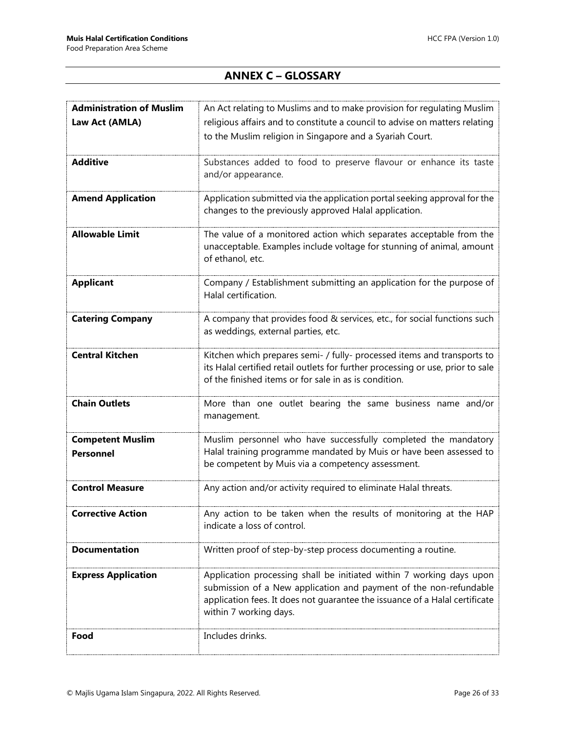## **ANNEX C – GLOSSARY**

<span id="page-25-0"></span>

| <b>Administration of Muslim</b>             | An Act relating to Muslims and to make provision for regulating Muslim                                                                                                                                                                             |
|---------------------------------------------|----------------------------------------------------------------------------------------------------------------------------------------------------------------------------------------------------------------------------------------------------|
| Law Act (AMLA)                              | religious affairs and to constitute a council to advise on matters relating                                                                                                                                                                        |
|                                             | to the Muslim religion in Singapore and a Syariah Court.                                                                                                                                                                                           |
| <b>Additive</b>                             | Substances added to food to preserve flavour or enhance its taste<br>and/or appearance.                                                                                                                                                            |
| <b>Amend Application</b>                    | Application submitted via the application portal seeking approval for the<br>changes to the previously approved Halal application.                                                                                                                 |
| <b>Allowable Limit</b>                      | The value of a monitored action which separates acceptable from the<br>unacceptable. Examples include voltage for stunning of animal, amount<br>of ethanol, etc.                                                                                   |
| <b>Applicant</b>                            | Company / Establishment submitting an application for the purpose of<br>Halal certification.                                                                                                                                                       |
| <b>Catering Company</b>                     | A company that provides food & services, etc., for social functions such<br>as weddings, external parties, etc.                                                                                                                                    |
| <b>Central Kitchen</b>                      | Kitchen which prepares semi- / fully- processed items and transports to<br>its Halal certified retail outlets for further processing or use, prior to sale<br>of the finished items or for sale in as is condition.                                |
| <b>Chain Outlets</b>                        | More than one outlet bearing the same business name and/or<br>management.                                                                                                                                                                          |
| <b>Competent Muslim</b><br><b>Personnel</b> | Muslim personnel who have successfully completed the mandatory<br>Halal training programme mandated by Muis or have been assessed to<br>be competent by Muis via a competency assessment.                                                          |
| <b>Control Measure</b>                      | Any action and/or activity required to eliminate Halal threats.                                                                                                                                                                                    |
| Corrective Action                           | Any action to be taken when the results of monitoring at the HAP<br>indicate a loss of control.                                                                                                                                                    |
| <b>Documentation</b>                        | Written proof of step-by-step process documenting a routine.                                                                                                                                                                                       |
| <b>Express Application</b>                  | Application processing shall be initiated within 7 working days upon<br>submission of a New application and payment of the non-refundable<br>application fees. It does not guarantee the issuance of a Halal certificate<br>within 7 working days. |
| Food                                        | Includes drinks.                                                                                                                                                                                                                                   |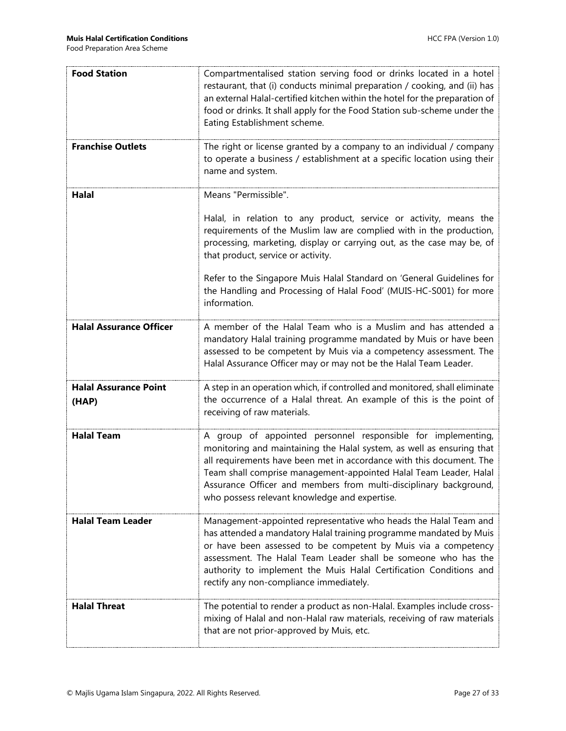| <b>Food Station</b>                   | Compartmentalised station serving food or drinks located in a hotel<br>restaurant, that (i) conducts minimal preparation / cooking, and (ii) has<br>an external Halal-certified kitchen within the hotel for the preparation of<br>food or drinks. It shall apply for the Food Station sub-scheme under the<br>Eating Establishment scheme.                                                                                                     |
|---------------------------------------|-------------------------------------------------------------------------------------------------------------------------------------------------------------------------------------------------------------------------------------------------------------------------------------------------------------------------------------------------------------------------------------------------------------------------------------------------|
| <b>Franchise Outlets</b>              | The right or license granted by a company to an individual / company<br>to operate a business / establishment at a specific location using their<br>name and system.                                                                                                                                                                                                                                                                            |
| <b>Halal</b>                          | Means "Permissible".<br>Halal, in relation to any product, service or activity, means the<br>requirements of the Muslim law are complied with in the production,<br>processing, marketing, display or carrying out, as the case may be, of<br>that product, service or activity.<br>Refer to the Singapore Muis Halal Standard on 'General Guidelines for<br>the Handling and Processing of Halal Food' (MUIS-HC-S001) for more<br>information. |
| <b>Halal Assurance Officer</b>        | A member of the Halal Team who is a Muslim and has attended a<br>mandatory Halal training programme mandated by Muis or have been<br>assessed to be competent by Muis via a competency assessment. The<br>Halal Assurance Officer may or may not be the Halal Team Leader.                                                                                                                                                                      |
| <b>Halal Assurance Point</b><br>(HAP) | A step in an operation which, if controlled and monitored, shall eliminate<br>the occurrence of a Halal threat. An example of this is the point of<br>receiving of raw materials.                                                                                                                                                                                                                                                               |
| <b>Halal Team</b>                     | A group of appointed personnel responsible for implementing,<br>monitoring and maintaining the Halal system, as well as ensuring that<br>all requirements have been met in accordance with this document. The<br>Team shall comprise management-appointed Halal Team Leader, Halal<br>Assurance Officer and members from multi-disciplinary background,<br>who possess relevant knowledge and expertise.                                        |
| <b>Halal Team Leader</b>              | Management-appointed representative who heads the Halal Team and<br>has attended a mandatory Halal training programme mandated by Muis<br>or have been assessed to be competent by Muis via a competency<br>assessment. The Halal Team Leader shall be someone who has the<br>authority to implement the Muis Halal Certification Conditions and<br>rectify any non-compliance immediately.                                                     |
| <b>Halal Threat</b>                   | The potential to render a product as non-Halal. Examples include cross-<br>mixing of Halal and non-Halal raw materials, receiving of raw materials<br>that are not prior-approved by Muis, etc.                                                                                                                                                                                                                                                 |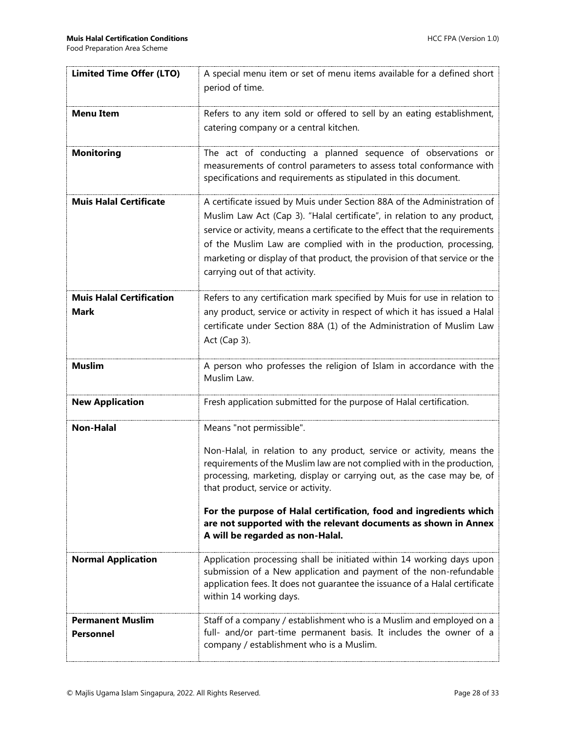| <b>Limited Time Offer (LTO)</b>                | A special menu item or set of menu items available for a defined short<br>period of time.                                                                                                                                                                                                                                                                                                                                 |
|------------------------------------------------|---------------------------------------------------------------------------------------------------------------------------------------------------------------------------------------------------------------------------------------------------------------------------------------------------------------------------------------------------------------------------------------------------------------------------|
|                                                |                                                                                                                                                                                                                                                                                                                                                                                                                           |
| <b>Menu Item</b>                               | Refers to any item sold or offered to sell by an eating establishment,                                                                                                                                                                                                                                                                                                                                                    |
|                                                | catering company or a central kitchen.                                                                                                                                                                                                                                                                                                                                                                                    |
| <b>Monitoring</b>                              | The act of conducting a planned sequence of observations or<br>measurements of control parameters to assess total conformance with<br>specifications and requirements as stipulated in this document.                                                                                                                                                                                                                     |
| <b>Muis Halal Certificate</b>                  | A certificate issued by Muis under Section 88A of the Administration of<br>Muslim Law Act (Cap 3). "Halal certificate", in relation to any product,<br>service or activity, means a certificate to the effect that the requirements<br>of the Muslim Law are complied with in the production, processing,<br>marketing or display of that product, the provision of that service or the<br>carrying out of that activity. |
| <b>Muis Halal Certification</b><br><b>Mark</b> | Refers to any certification mark specified by Muis for use in relation to<br>any product, service or activity in respect of which it has issued a Halal<br>certificate under Section 88A (1) of the Administration of Muslim Law<br>Act (Cap 3).                                                                                                                                                                          |
| <b>Muslim</b>                                  | A person who professes the religion of Islam in accordance with the<br>Muslim Law.                                                                                                                                                                                                                                                                                                                                        |
| <b>New Application</b>                         | Fresh application submitted for the purpose of Halal certification.                                                                                                                                                                                                                                                                                                                                                       |
| <b>Non-Halal</b>                               | Means "not permissible".                                                                                                                                                                                                                                                                                                                                                                                                  |
|                                                | Non-Halal, in relation to any product, service or activity, means the<br>requirements of the Muslim law are not complied with in the production,<br>processing, marketing, display or carrying out, as the case may be, of<br>that product, service or activity.                                                                                                                                                          |
|                                                | For the purpose of Halal certification, food and ingredients which<br>are not supported with the relevant documents as shown in Annex<br>A will be regarded as non-Halal.                                                                                                                                                                                                                                                 |
| <b>Normal Application</b>                      | Application processing shall be initiated within 14 working days upon<br>submission of a New application and payment of the non-refundable<br>application fees. It does not guarantee the issuance of a Halal certificate<br>within 14 working days.                                                                                                                                                                      |
| <b>Permanent Muslim</b><br><b>Personnel</b>    | Staff of a company / establishment who is a Muslim and employed on a<br>full- and/or part-time permanent basis. It includes the owner of a<br>company / establishment who is a Muslim.                                                                                                                                                                                                                                    |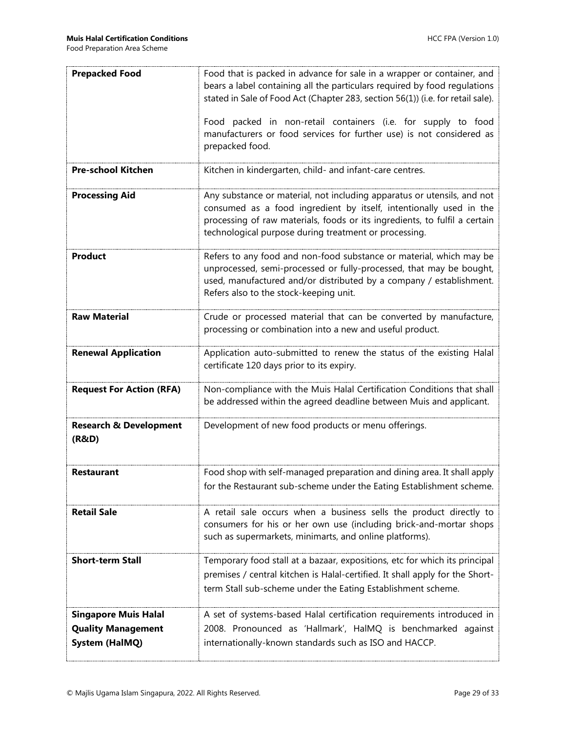| <b>Prepacked Food</b>                                                             | Food that is packed in advance for sale in a wrapper or container, and<br>bears a label containing all the particulars required by food regulations<br>stated in Sale of Food Act (Chapter 283, section 56(1)) (i.e. for retail sale).<br>Food packed in non-retail containers (i.e. for supply to food<br>manufacturers or food services for further use) is not considered as<br>prepacked food. |  |  |
|-----------------------------------------------------------------------------------|----------------------------------------------------------------------------------------------------------------------------------------------------------------------------------------------------------------------------------------------------------------------------------------------------------------------------------------------------------------------------------------------------|--|--|
| <b>Pre-school Kitchen</b>                                                         | Kitchen in kindergarten, child- and infant-care centres.                                                                                                                                                                                                                                                                                                                                           |  |  |
| <b>Processing Aid</b>                                                             | Any substance or material, not including apparatus or utensils, and not<br>consumed as a food ingredient by itself, intentionally used in the<br>processing of raw materials, foods or its ingredients, to fulfil a certain<br>technological purpose during treatment or processing.                                                                                                               |  |  |
| <b>Product</b>                                                                    | Refers to any food and non-food substance or material, which may be<br>unprocessed, semi-processed or fully-processed, that may be bought,<br>used, manufactured and/or distributed by a company / establishment.<br>Refers also to the stock-keeping unit.                                                                                                                                        |  |  |
| <b>Raw Material</b>                                                               | Crude or processed material that can be converted by manufacture,<br>processing or combination into a new and useful product.                                                                                                                                                                                                                                                                      |  |  |
| <b>Renewal Application</b>                                                        | Application auto-submitted to renew the status of the existing Halal<br>certificate 120 days prior to its expiry.                                                                                                                                                                                                                                                                                  |  |  |
| <b>Request For Action (RFA)</b>                                                   | Non-compliance with the Muis Halal Certification Conditions that shall<br>be addressed within the agreed deadline between Muis and applicant.                                                                                                                                                                                                                                                      |  |  |
| <b>Research &amp; Development</b><br>(R&D)                                        | Development of new food products or menu offerings.                                                                                                                                                                                                                                                                                                                                                |  |  |
| <b>Restaurant</b>                                                                 | Food shop with self-managed preparation and dining area. It shall apply<br>for the Restaurant sub-scheme under the Eating Establishment scheme.                                                                                                                                                                                                                                                    |  |  |
| <b>Retail Sale</b>                                                                | A retail sale occurs when a business sells the product directly to<br>consumers for his or her own use (including brick-and-mortar shops<br>such as supermarkets, minimarts, and online platforms).                                                                                                                                                                                                |  |  |
| <b>Short-term Stall</b>                                                           | Temporary food stall at a bazaar, expositions, etc for which its principal<br>premises / central kitchen is Halal-certified. It shall apply for the Short-<br>term Stall sub-scheme under the Eating Establishment scheme.                                                                                                                                                                         |  |  |
| <b>Singapore Muis Halal</b><br><b>Quality Management</b><br><b>System (HalMQ)</b> | A set of systems-based Halal certification requirements introduced in<br>2008. Pronounced as 'Hallmark', HalMQ is benchmarked against<br>internationally-known standards such as ISO and HACCP.                                                                                                                                                                                                    |  |  |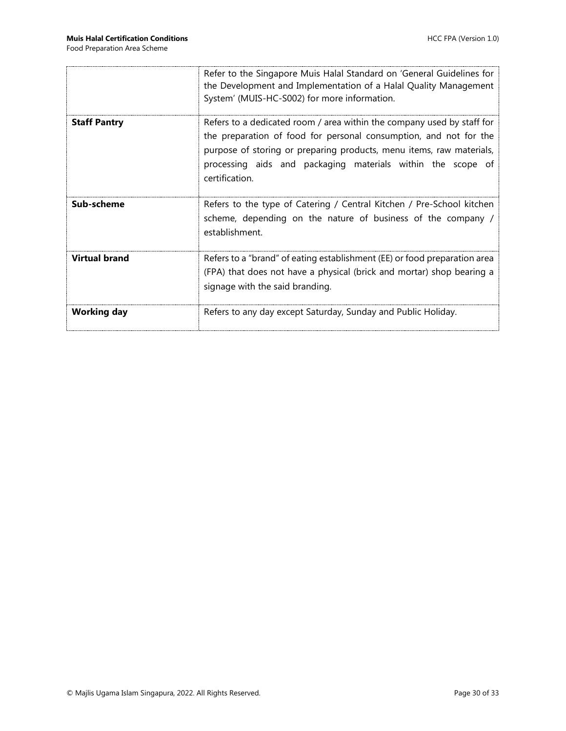|                      | Refer to the Singapore Muis Halal Standard on 'General Guidelines for<br>the Development and Implementation of a Halal Quality Management<br>System' (MUIS-HC-S002) for more information.                                                                                                            |  |
|----------------------|------------------------------------------------------------------------------------------------------------------------------------------------------------------------------------------------------------------------------------------------------------------------------------------------------|--|
| <b>Staff Pantry</b>  | Refers to a dedicated room / area within the company used by staff for<br>the preparation of food for personal consumption, and not for the<br>purpose of storing or preparing products, menu items, raw materials,<br>processing aids and packaging materials within the scope of<br>certification. |  |
| Sub-scheme           | Refers to the type of Catering / Central Kitchen / Pre-School kitchen<br>scheme, depending on the nature of business of the company /<br>establishment.                                                                                                                                              |  |
| <b>Virtual brand</b> | Refers to a "brand" of eating establishment (EE) or food preparation area<br>(FPA) that does not have a physical (brick and mortar) shop bearing a<br>signage with the said branding.                                                                                                                |  |
| <b>Working day</b>   | Refers to any day except Saturday, Sunday and Public Holiday.                                                                                                                                                                                                                                        |  |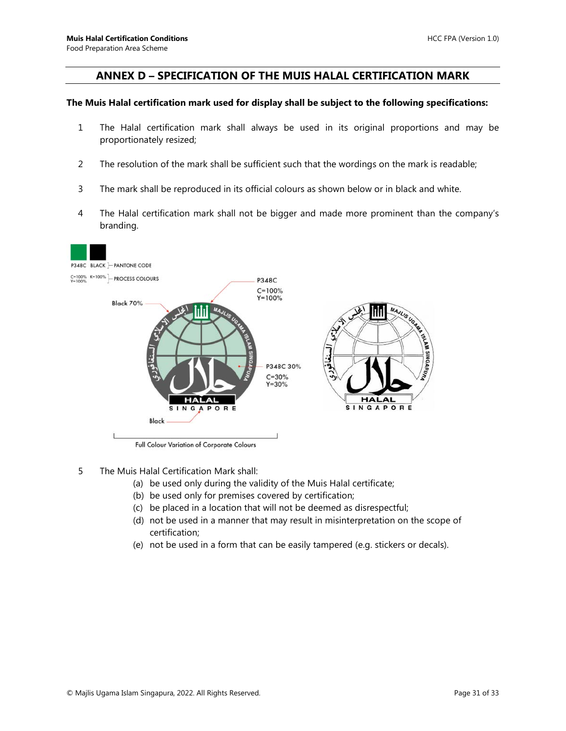#### <span id="page-30-0"></span>**ANNEX D – SPECIFICATION OF THE MUIS HALAL CERTIFICATION MARK**

#### **The Muis Halal certification mark used for display shall be subject to the following specifications:**

- 1 The Halal certification mark shall always be used in its original proportions and may be proportionately resized;
- 2 The resolution of the mark shall be sufficient such that the wordings on the mark is readable;
- 3 The mark shall be reproduced in its official colours as shown below or in black and white.
- 4 The Halal certification mark shall not be bigger and made more prominent than the company's branding.



Full Colour Variation of Corporate Colours

- 5 The Muis Halal Certification Mark shall:
	- (a) be used only during the validity of the Muis Halal certificate;
	- (b) be used only for premises covered by certification;
	- (c) be placed in a location that will not be deemed as disrespectful;
	- (d) not be used in a manner that may result in misinterpretation on the scope of certification;
	- (e) not be used in a form that can be easily tampered (e.g. stickers or decals).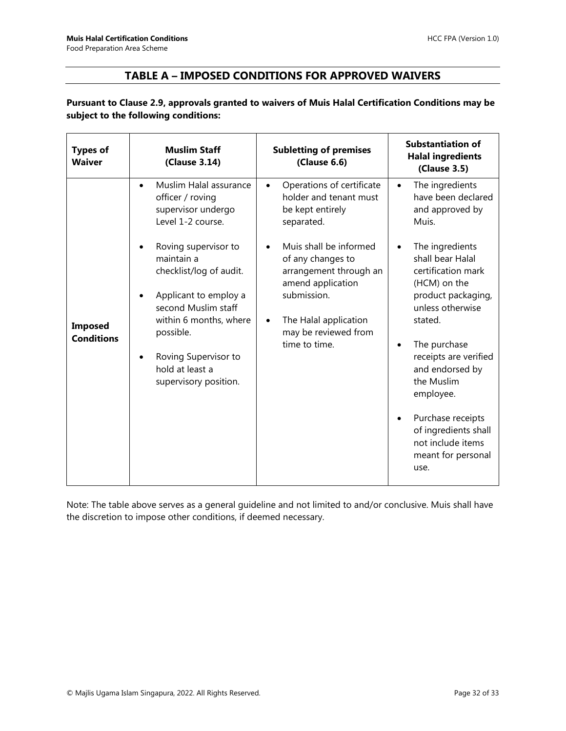### **TABLE A – IMPOSED CONDITIONS FOR APPROVED WAIVERS**

<span id="page-31-0"></span>**Pursuant to Clause 2.9, approvals granted to waivers of Muis Halal Certification Conditions may be subject to the following conditions:**

| <b>Types of</b><br><b>Waiver</b>    | <b>Muslim Staff</b><br>(Clause 3.14)                                                                                                                                                                                     | <b>Subletting of premises</b><br>(Clause 6.6)                                                                                                                                            | <b>Substantiation of</b><br><b>Halal ingredients</b><br>(Clause 3.5)                                                                                                                                                                                                                                                                                         |
|-------------------------------------|--------------------------------------------------------------------------------------------------------------------------------------------------------------------------------------------------------------------------|------------------------------------------------------------------------------------------------------------------------------------------------------------------------------------------|--------------------------------------------------------------------------------------------------------------------------------------------------------------------------------------------------------------------------------------------------------------------------------------------------------------------------------------------------------------|
|                                     | Muslim Halal assurance<br>$\bullet$<br>officer / roving<br>supervisor undergo<br>Level 1-2 course.                                                                                                                       | Operations of certificate<br>$\bullet$<br>holder and tenant must<br>be kept entirely<br>separated.                                                                                       | The ingredients<br>$\bullet$<br>have been declared<br>and approved by<br>Muis.                                                                                                                                                                                                                                                                               |
| <b>Imposed</b><br><b>Conditions</b> | Roving supervisor to<br>maintain a<br>checklist/log of audit.<br>Applicant to employ a<br>second Muslim staff<br>within 6 months, where<br>possible.<br>Roving Supervisor to<br>hold at least a<br>supervisory position. | Muis shall be informed<br>of any changes to<br>arrangement through an<br>amend application<br>submission.<br>The Halal application<br>$\bullet$<br>may be reviewed from<br>time to time. | The ingredients<br>$\bullet$<br>shall bear Halal<br>certification mark<br>(HCM) on the<br>product packaging,<br>unless otherwise<br>stated.<br>The purchase<br>$\bullet$<br>receipts are verified<br>and endorsed by<br>the Muslim<br>employee.<br>Purchase receipts<br>$\bullet$<br>of ingredients shall<br>not include items<br>meant for personal<br>use. |

Note: The table above serves as a general guideline and not limited to and/or conclusive. Muis shall have the discretion to impose other conditions, if deemed necessary.